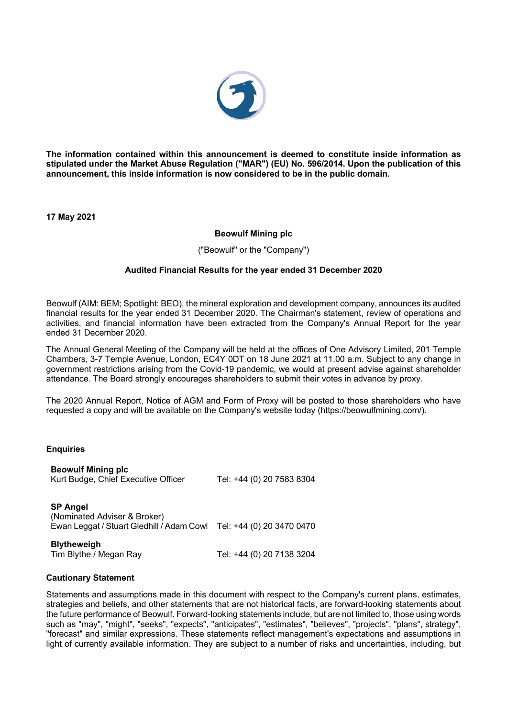

**The information contained within this announcement is deemed to constitute inside information as stipulated under the Market Abuse Regulation ("MAR") (EU) No. 596/2014. Upon the publication of this announcement, this inside information is now considered to be in the public domain.**

**17 May 2021**

# **Beowulf Mining plc**

("Beowulf" or the "Company")

# **Audited Financial Results for the year ended 31 December 2020**

Beowulf (AIM: BEM; Spotlight: BEO), the mineral exploration and development company, announces its audited financial results for the year ended 31 December 2020. The Chairman's statement, review of operations and activities, and financial information have been extracted from the Company's Annual Report for the year ended 31 December 2020.

The Annual General Meeting of the Company will be held at the offices of One Advisory Limited, 201 Temple Chambers, 3-7 Temple Avenue, London, EC4Y 0DT on 18 June 2021 at 11.00 a.m. Subject to any change in government restrictions arising from the Covid-19 pandemic, we would at present advise against shareholder attendance. The Board strongly encourages shareholders to submit their votes in advance by proxy.

The 2020 Annual Report, Notice of AGM and Form of Proxy will be posted to those shareholders who have requested a copy and will be available on the Company's website today (https://beowulfmining.com/).

### **Enquiries**

| <b>Beowulf Mining plc</b><br>Kurt Budge, Chief Executive Officer                             | Tel: +44 (0) 20 7583 8304 |
|----------------------------------------------------------------------------------------------|---------------------------|
| <b>SP Angel</b><br>(Nominated Adviser & Broker)<br>Ewan Leggat / Stuart Gledhill / Adam Cowl | Tel: +44 (0) 20 3470 0470 |
| <b>Blytheweigh</b><br>Tim Blythe / Megan Ray                                                 | Tel: +44 (0) 20 7138 3204 |

# **Cautionary Statement**

Statements and assumptions made in this document with respect to the Company's current plans, estimates, strategies and beliefs, and other statements that are not historical facts, are forward-looking statements about the future performance of Beowulf. Forward-looking statements include, but are not limited to, those using words such as "may", "might", "seeks", "expects", "anticipates", "estimates", "believes", "projects", "plans", strategy", "forecast" and similar expressions. These statements reflect management's expectations and assumptions in light of currently available information. They are subject to a number of risks and uncertainties, including, but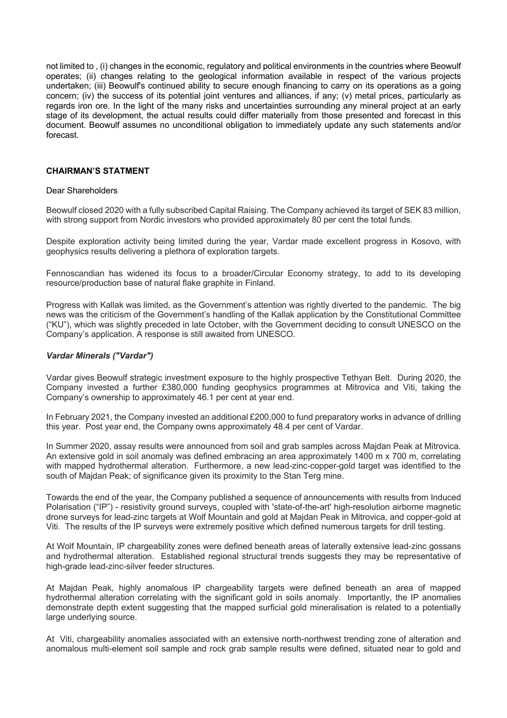not limited to , (i) changes in the economic, regulatory and political environments in the countries where Beowulf operates; (ii) changes relating to the geological information available in respect of the various projects undertaken; (iii) Beowulf's continued ability to secure enough financing to carry on its operations as a going concern; (iv) the success of its potential joint ventures and alliances, if any; (v) metal prices, particularly as regards iron ore. In the light of the many risks and uncertainties surrounding any mineral project at an early stage of its development, the actual results could differ materially from those presented and forecast in this document. Beowulf assumes no unconditional obligation to immediately update any such statements and/or forecast.

### **CHAIRMAN'S STATMENT**

### Dear Shareholders

Beowulf closed 2020 with a fully subscribed Capital Raising. The Company achieved its target of SEK 83 million, with strong support from Nordic investors who provided approximately 80 per cent the total funds.

Despite exploration activity being limited during the year, Vardar made excellent progress in Kosovo, with geophysics results delivering a plethora of exploration targets.

Fennoscandian has widened its focus to a broader/Circular Economy strategy, to add to its developing resource/production base of natural flake graphite in Finland.

Progress with Kallak was limited, as the Government's attention was rightly diverted to the pandemic. The big news was the criticism of the Government's handling of the Kallak application by the Constitutional Committee ("KU"), which was slightly preceded in late October, with the Government deciding to consult UNESCO on the Company's application. A response is still awaited from UNESCO.

# *Vardar Minerals ("Vardar")*

Vardar gives Beowulf strategic investment exposure to the highly prospective Tethyan Belt. During 2020, the Company invested a further £380,000 funding geophysics programmes at Mitrovica and Viti, taking the Company's ownership to approximately 46.1 per cent at year end.

In February 2021, the Company invested an additional £200,000 to fund preparatory works in advance of drilling this year. Post year end, the Company owns approximately 48.4 per cent of Vardar.

In Summer 2020, assay results were announced from soil and grab samples across Majdan Peak at Mitrovica. An extensive gold in soil anomaly was defined embracing an area approximately 1400 m x 700 m, correlating with mapped hydrothermal alteration. Furthermore, a new lead-zinc-copper-gold target was identified to the south of Majdan Peak; of significance given its proximity to the Stan Terg mine.

Towards the end of the year, the Company published a sequence of announcements with results from Induced Polarisation ("IP") - resistivity ground surveys, coupled with 'state-of-the-art' high-resolution airborne magnetic drone surveys for lead-zinc targets at Wolf Mountain and gold at Majdan Peak in Mitrovica, and copper-gold at Viti. The results of the IP surveys were extremely positive which defined numerous targets for drill testing.

At Wolf Mountain, IP chargeability zones were defined beneath areas of laterally extensive lead-zinc gossans and hydrothermal alteration. Established regional structural trends suggests they may be representative of high-grade lead-zinc-silver feeder structures.

At Majdan Peak, highly anomalous IP chargeability targets were defined beneath an area of mapped hydrothermal alteration correlating with the significant gold in soils anomaly. Importantly, the IP anomalies demonstrate depth extent suggesting that the mapped surficial gold mineralisation is related to a potentially large underlying source.

At Viti, chargeability anomalies associated with an extensive north-northwest trending zone of alteration and anomalous multi-element soil sample and rock grab sample results were defined, situated near to gold and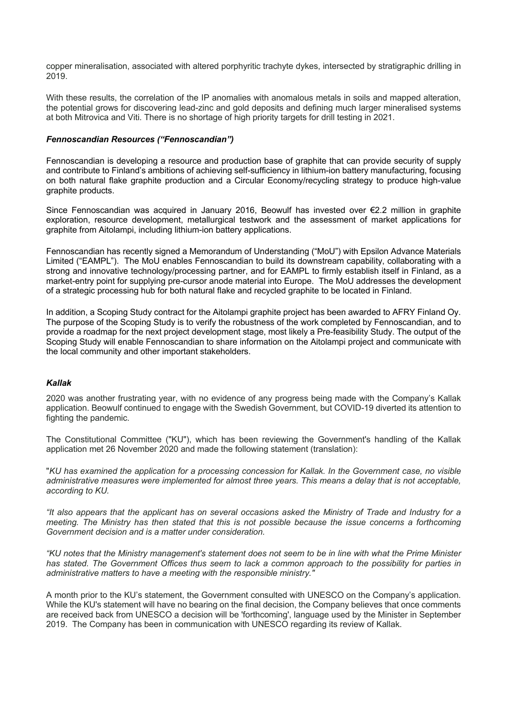copper mineralisation, associated with altered porphyritic trachyte dykes, intersected by stratigraphic drilling in 2019.

With these results, the correlation of the IP anomalies with anomalous metals in soils and mapped alteration, the potential grows for discovering lead-zinc and gold deposits and defining much larger mineralised systems at both Mitrovica and Viti. There is no shortage of high priority targets for drill testing in 2021.

# *Fennoscandian Resources ("Fennoscandian")*

Fennoscandian is developing a resource and production base of graphite that can provide security of supply and contribute to Finland's ambitions of achieving self-sufficiency in lithium-ion battery manufacturing, focusing on both natural flake graphite production and a Circular Economy/recycling strategy to produce high-value graphite products.

Since Fennoscandian was acquired in January 2016, Beowulf has invested over €2.2 million in graphite exploration, resource development, metallurgical testwork and the assessment of market applications for graphite from Aitolampi, including lithium-ion battery applications.

Fennoscandian has recently signed a Memorandum of Understanding ("MoU") with Epsilon Advance Materials Limited ("EAMPL"). The MoU enables Fennoscandian to build its downstream capability, collaborating with a strong and innovative technology/processing partner, and for EAMPL to firmly establish itself in Finland, as a market-entry point for supplying pre-cursor anode material into Europe. The MoU addresses the development of a strategic processing hub for both natural flake and recycled graphite to be located in Finland.

In addition, a Scoping Study contract for the Aitolampi graphite project has been awarded to AFRY Finland Oy. The purpose of the Scoping Study is to verify the robustness of the work completed by Fennoscandian, and to provide a roadmap for the next project development stage, most likely a Pre-feasibility Study. The output of the Scoping Study will enable Fennoscandian to share information on the Aitolampi project and communicate with the local community and other important stakeholders.

# *Kallak*

2020 was another frustrating year, with no evidence of any progress being made with the Company's Kallak application. Beowulf continued to engage with the Swedish Government, but COVID-19 diverted its attention to fighting the pandemic.

The Constitutional Committee ("KU"), which has been reviewing the Government's handling of the Kallak application met 26 November 2020 and made the following statement (translation):

"*KU has examined the application for a processing concession for Kallak. In the Government case, no visible administrative measures were implemented for almost three years. This means a delay that is not acceptable, according to KU.*

*"It also appears that the applicant has on several occasions asked the Ministry of Trade and Industry for a meeting. The Ministry has then stated that this is not possible because the issue concerns a forthcoming Government decision and is a matter under consideration.*

*"KU notes that the Ministry management's statement does not seem to be in line with what the Prime Minister has stated. The Government Offices thus seem to lack a common approach to the possibility for parties in administrative matters to have a meeting with the responsible ministry."*

A month prior to the KU's statement, the Government consulted with UNESCO on the Company's application. While the KU's statement will have no bearing on the final decision, the Company believes that once comments are received back from UNESCO a decision will be 'forthcoming', language used by the Minister in September 2019. The Company has been in communication with UNESCO regarding its review of Kallak.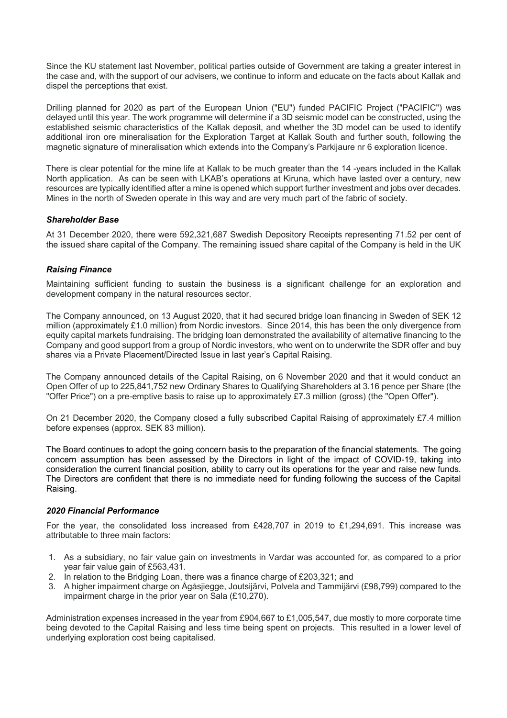Since the KU statement last November, political parties outside of Government are taking a greater interest in the case and, with the support of our advisers, we continue to inform and educate on the facts about Kallak and dispel the perceptions that exist.

Drilling planned for 2020 as part of the European Union ("EU") funded PACIFIC Project ("PACIFIC") was delayed until this year. The work programme will determine if a 3D seismic model can be constructed, using the established seismic characteristics of the Kallak deposit, and whether the 3D model can be used to identify additional iron ore mineralisation for the Exploration Target at Kallak South and further south, following the magnetic signature of mineralisation which extends into the Company's Parkijaure nr 6 exploration licence.

There is clear potential for the mine life at Kallak to be much greater than the 14 -years included in the Kallak North application. As can be seen with LKAB's operations at Kiruna, which have lasted over a century, new resources are typically identified after a mine is opened which support further investment and jobs over decades. Mines in the north of Sweden operate in this way and are very much part of the fabric of society.

# *Shareholder Base*

At 31 December 2020, there were 592,321,687 Swedish Depository Receipts representing 71.52 per cent of the issued share capital of the Company. The remaining issued share capital of the Company is held in the UK

# *Raising Finance*

Maintaining sufficient funding to sustain the business is a significant challenge for an exploration and development company in the natural resources sector.

The Company announced, on 13 August 2020, that it had secured bridge loan financing in Sweden of SEK 12 million (approximately £1.0 million) from Nordic investors. Since 2014, this has been the only divergence from equity capital markets fundraising. The bridging loan demonstrated the availability of alternative financing to the Company and good support from a group of Nordic investors, who went on to underwrite the SDR offer and buy shares via a Private Placement/Directed Issue in last year's Capital Raising.

The Company announced details of the Capital Raising, on 6 November 2020 and that it would conduct an Open Offer of up to 225,841,752 new Ordinary Shares to Qualifying Shareholders at 3.16 pence per Share (the "Offer Price") on a pre-emptive basis to raise up to approximately £7.3 million (gross) (the "Open Offer").

On 21 December 2020, the Company closed a fully subscribed Capital Raising of approximately £7.4 million before expenses (approx. SEK 83 million).

The Board continues to adopt the going concern basis to the preparation of the financial statements. The going concern assumption has been assessed by the Directors in light of the impact of COVID-19, taking into consideration the current financial position, ability to carry out its operations for the year and raise new funds. The Directors are confident that there is no immediate need for funding following the success of the Capital Raising.

### *2020 Financial Performance*

For the year, the consolidated loss increased from £428,707 in 2019 to £1,294,691. This increase was attributable to three main factors:

- 1. As a subsidiary, no fair value gain on investments in Vardar was accounted for, as compared to a prior year fair value gain of £563,431.
- 2. In relation to the Bridging Loan, there was a finance charge of £203,321; and
- 3. A higher impairment charge on Ågåsjiegge, Joutsijärvi, Polvela and Tammijärvi (£98,799) compared to the impairment charge in the prior year on Sala (£10,270).

Administration expenses increased in the year from £904,667 to £1,005,547, due mostly to more corporate time being devoted to the Capital Raising and less time being spent on projects. This resulted in a lower level of underlying exploration cost being capitalised.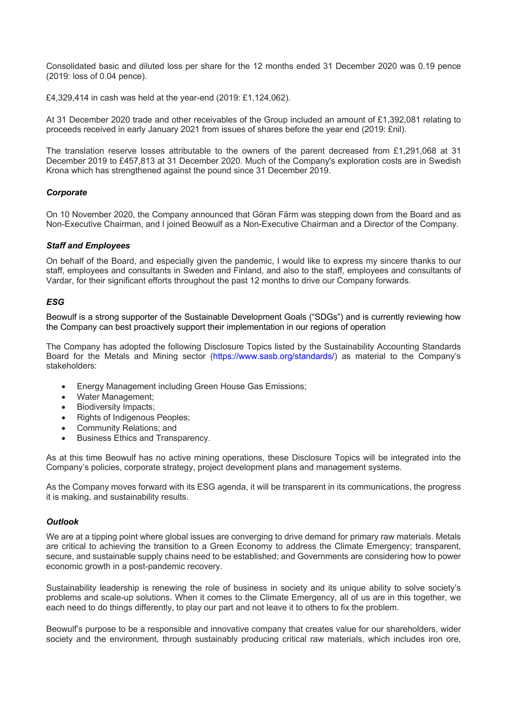Consolidated basic and diluted loss per share for the 12 months ended 31 December 2020 was 0.19 pence (2019: loss of 0.04 pence).

£4,329,414 in cash was held at the year-end (2019: £1,124,062).

At 31 December 2020 trade and other receivables of the Group included an amount of £1,392,081 relating to proceeds received in early January 2021 from issues of shares before the year end (2019: £nil).

The translation reserve losses attributable to the owners of the parent decreased from £1,291,068 at 31 December 2019 to £457,813 at 31 December 2020. Much of the Company's exploration costs are in Swedish Krona which has strengthened against the pound since 31 December 2019.

# *Corporate*

On 10 November 2020, the Company announced that Göran Färm was stepping down from the Board and as Non-Executive Chairman, and I joined Beowulf as a Non-Executive Chairman and a Director of the Company.

### *Staff and Employees*

On behalf of the Board, and especially given the pandemic, I would like to express my sincere thanks to our staff, employees and consultants in Sweden and Finland, and also to the staff, employees and consultants of Vardar, for their significant efforts throughout the past 12 months to drive our Company forwards.

# *ESG*

Beowulf is a strong supporter of the Sustainable Development Goals ("SDGs") and is currently reviewing how the Company can best proactively support their implementation in our regions of operation

The Company has adopted the following Disclosure Topics listed by the Sustainability Accounting Standards Board for the Metals and Mining sector (https://www.sasb.org/standards/) as material to the Company's stakeholders:

- Energy Management including Green House Gas Emissions;
- Water Management;<br>• Biodiversity Impacts:
- Biodiversity Impacts:
- Rights of Indigenous Peoples:
- Community Relations; and
- Business Ethics and Transparency.

As at this time Beowulf has no active mining operations, these Disclosure Topics will be integrated into the Company's policies, corporate strategy, project development plans and management systems.

As the Company moves forward with its ESG agenda, it will be transparent in its communications, the progress it is making, and sustainability results.

# *Outlook*

We are at a tipping point where global issues are converging to drive demand for primary raw materials. Metals are critical to achieving the transition to a Green Economy to address the Climate Emergency; transparent, secure, and sustainable supply chains need to be established; and Governments are considering how to power economic growth in a post-pandemic recovery.

Sustainability leadership is renewing the role of business in society and its unique ability to solve society's problems and scale-up solutions. When it comes to the Climate Emergency, all of us are in this together, we each need to do things differently, to play our part and not leave it to others to fix the problem.

Beowulf's purpose to be a responsible and innovative company that creates value for our shareholders, wider society and the environment, through sustainably producing critical raw materials, which includes iron ore,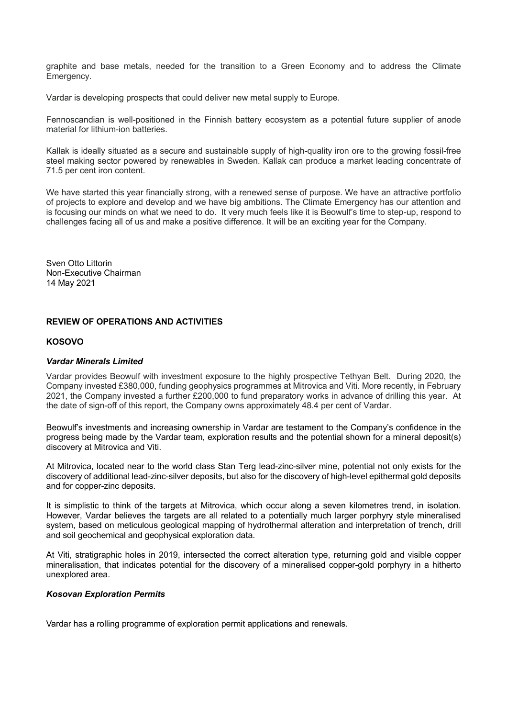graphite and base metals, needed for the transition to a Green Economy and to address the Climate Emergency.

Vardar is developing prospects that could deliver new metal supply to Europe.

Fennoscandian is well-positioned in the Finnish battery ecosystem as a potential future supplier of anode material for lithium-ion batteries.

Kallak is ideally situated as a secure and sustainable supply of high-quality iron ore to the growing fossil-free steel making sector powered by renewables in Sweden. Kallak can produce a market leading concentrate of 71.5 per cent iron content.

We have started this year financially strong, with a renewed sense of purpose. We have an attractive portfolio of projects to explore and develop and we have big ambitions. The Climate Emergency has our attention and is focusing our minds on what we need to do. It very much feels like it is Beowulf's time to step-up, respond to challenges facing all of us and make a positive difference. It will be an exciting year for the Company.

Sven Otto Littorin Non-Executive Chairman 14 May 2021

# **REVIEW OF OPERATIONS AND ACTIVITIES**

# **KOSOVO**

### *Vardar Minerals Limited*

Vardar provides Beowulf with investment exposure to the highly prospective Tethyan Belt. During 2020, the Company invested £380,000, funding geophysics programmes at Mitrovica and Viti. More recently, in February 2021, the Company invested a further £200,000 to fund preparatory works in advance of drilling this year. At the date of sign-off of this report, the Company owns approximately 48.4 per cent of Vardar.

Beowulf's investments and increasing ownership in Vardar are testament to the Company's confidence in the progress being made by the Vardar team, exploration results and the potential shown for a mineral deposit(s) discovery at Mitrovica and Viti.

At Mitrovica, located near to the world class Stan Terg lead-zinc-silver mine, potential not only exists for the discovery of additional lead-zinc-silver deposits, but also for the discovery of high-level epithermal gold deposits and for copper-zinc deposits.

It is simplistic to think of the targets at Mitrovica, which occur along a seven kilometres trend, in isolation. However, Vardar believes the targets are all related to a potentially much larger porphyry style mineralised system, based on meticulous geological mapping of hydrothermal alteration and interpretation of trench, drill and soil geochemical and geophysical exploration data.

At Viti, stratigraphic holes in 2019, intersected the correct alteration type, returning gold and visible copper mineralisation, that indicates potential for the discovery of a mineralised copper-gold porphyry in a hitherto unexplored area.

### *Kosovan Exploration Permits*

Vardar has a rolling programme of exploration permit applications and renewals.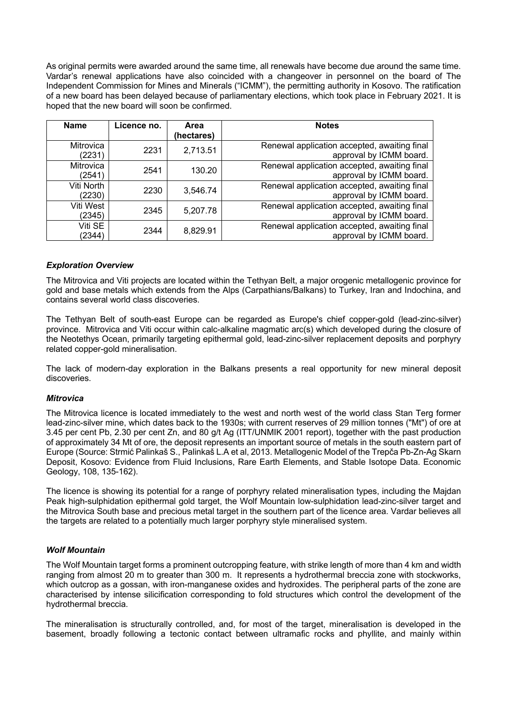As original permits were awarded around the same time, all renewals have become due around the same time. Vardar's renewal applications have also coincided with a changeover in personnel on the board of The Independent Commission for Mines and Minerals ("ICMM"), the permitting authority in Kosovo. The ratification of a new board has been delayed because of parliamentary elections, which took place in February 2021. It is hoped that the new board will soon be confirmed.

| <b>Name</b>                | Licence no. | Area<br>(hectares) | <b>Notes</b>                                                            |
|----------------------------|-------------|--------------------|-------------------------------------------------------------------------|
| Mitrovica<br>(2231)        | 2231        | 2,713.51           | Renewal application accepted, awaiting final<br>approval by ICMM board. |
| <b>Mitrovica</b><br>(2541) | 2541        | 130.20             | Renewal application accepted, awaiting final<br>approval by ICMM board. |
| Viti North<br>(2230)       | 2230        | 3,546.74           | Renewal application accepted, awaiting final<br>approval by ICMM board. |
| Viti West<br>(2345)        | 2345        | 5,207.78           | Renewal application accepted, awaiting final<br>approval by ICMM board. |
| Viti SE<br>(2344)          | 2344        | 8,829.91           | Renewal application accepted, awaiting final<br>approval by ICMM board. |

### *Exploration Overview*

The Mitrovica and Viti projects are located within the Tethyan Belt, a major orogenic metallogenic province for gold and base metals which extends from the Alps (Carpathians/Balkans) to Turkey, Iran and Indochina, and contains several world class discoveries.

The Tethyan Belt of south-east Europe can be regarded as Europe's chief copper-gold (lead-zinc-silver) province. Mitrovica and Viti occur within calc-alkaline magmatic arc(s) which developed during the closure of the Neotethys Ocean, primarily targeting epithermal gold, lead-zinc-silver replacement deposits and porphyry related copper-gold mineralisation.

The lack of modern-day exploration in the Balkans presents a real opportunity for new mineral deposit discoveries.

### *Mitrovica*

The Mitrovica licence is located immediately to the west and north west of the world class Stan Terg former lead-zinc-silver mine, which dates back to the 1930s; with current reserves of 29 million tonnes ("Mt") of ore at 3.45 per cent Pb, 2.30 per cent Zn, and 80 g/t Ag (ITT/UNMIK 2001 report), together with the past production of approximately 34 Mt of ore, the deposit represents an important source of metals in the south eastern part of Europe (Source: Strmić Palinkaš S., Palinkaš L.A et al, 2013. Metallogenic Model of the Trepča Pb-Zn-Ag Skarn Deposit, Kosovo: Evidence from Fluid Inclusions, Rare Earth Elements, and Stable Isotope Data. Economic Geology, 108, 135-162).

The licence is showing its potential for a range of porphyry related mineralisation types, including the Majdan Peak high-sulphidation epithermal gold target, the Wolf Mountain low-sulphidation lead-zinc-silver target and the Mitrovica South base and precious metal target in the southern part of the licence area. Vardar believes all the targets are related to a potentially much larger porphyry style mineralised system.

### *Wolf Mountain*

The Wolf Mountain target forms a prominent outcropping feature, with strike length of more than 4 km and width ranging from almost 20 m to greater than 300 m. It represents a hydrothermal breccia zone with stockworks, which outcrop as a gossan, with iron-manganese oxides and hydroxides. The peripheral parts of the zone are characterised by intense silicification corresponding to fold structures which control the development of the hydrothermal breccia.

The mineralisation is structurally controlled, and, for most of the target, mineralisation is developed in the basement, broadly following a tectonic contact between ultramafic rocks and phyllite, and mainly within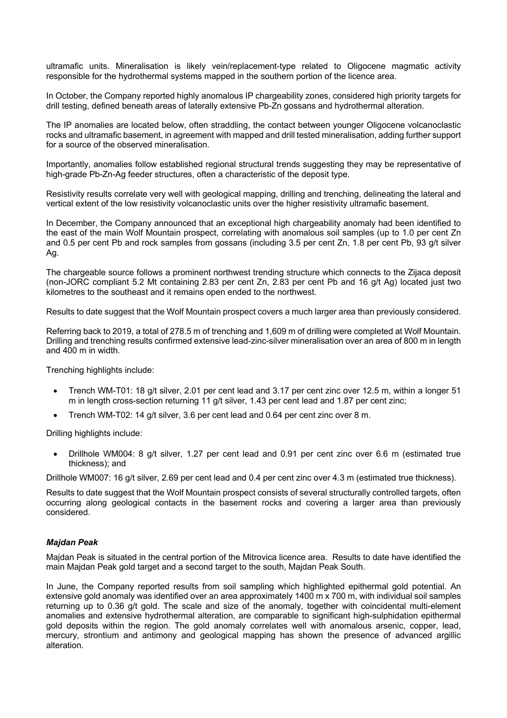ultramafic units. Mineralisation is likely vein/replacement-type related to Oligocene magmatic activity responsible for the hydrothermal systems mapped in the southern portion of the licence area.

In October, the Company reported highly anomalous IP chargeability zones, considered high priority targets for drill testing, defined beneath areas of laterally extensive Pb-Zn gossans and hydrothermal alteration.

The IP anomalies are located below, often straddling, the contact between younger Oligocene volcanoclastic rocks and ultramafic basement, in agreement with mapped and drill tested mineralisation, adding further support for a source of the observed mineralisation.

Importantly, anomalies follow established regional structural trends suggesting they may be representative of high-grade Pb-Zn-Ag feeder structures, often a characteristic of the deposit type.

Resistivity results correlate very well with geological mapping, drilling and trenching, delineating the lateral and vertical extent of the low resistivity volcanoclastic units over the higher resistivity ultramafic basement.

In December, the Company announced that an exceptional high chargeability anomaly had been identified to the east of the main Wolf Mountain prospect, correlating with anomalous soil samples (up to 1.0 per cent Zn and 0.5 per cent Pb and rock samples from gossans (including 3.5 per cent Zn, 1.8 per cent Pb, 93 g/t silver Ag.

The chargeable source follows a prominent northwest trending structure which connects to the Zijaca deposit (non-JORC compliant 5.2 Mt containing 2.83 per cent Zn, 2.83 per cent Pb and 16 g/t Ag) located just two kilometres to the southeast and it remains open ended to the northwest.

Results to date suggest that the Wolf Mountain prospect covers a much larger area than previously considered.

Referring back to 2019, a total of 278.5 m of trenching and 1,609 m of drilling were completed at Wolf Mountain. Drilling and trenching results confirmed extensive lead-zinc-silver mineralisation over an area of 800 m in length and 400 m in width.

Trenching highlights include:

- Trench WM-T01: 18 g/t silver, 2.01 per cent lead and 3.17 per cent zinc over 12.5 m, within a longer 51 m in length cross-section returning 11 g/t silver, 1.43 per cent lead and 1.87 per cent zinc;
- Trench WM-T02: 14 g/t silver, 3.6 per cent lead and 0.64 per cent zinc over 8 m.

Drilling highlights include:

• Drillhole WM004: 8 g/t silver, 1.27 per cent lead and 0.91 per cent zinc over 6.6 m (estimated true thickness); and

Drillhole WM007: 16 g/t silver, 2.69 per cent lead and 0.4 per cent zinc over 4.3 m (estimated true thickness).

Results to date suggest that the Wolf Mountain prospect consists of several structurally controlled targets, often occurring along geological contacts in the basement rocks and covering a larger area than previously considered.

### *Majdan Peak*

Majdan Peak is situated in the central portion of the Mitrovica licence area. Results to date have identified the main Majdan Peak gold target and a second target to the south, Majdan Peak South.

In June, the Company reported results from soil sampling which highlighted epithermal gold potential. An extensive gold anomaly was identified over an area approximately 1400 m x 700 m, with individual soil samples returning up to 0.36 g/t gold. The scale and size of the anomaly, together with coincidental multi-element anomalies and extensive hydrothermal alteration, are comparable to significant high-sulphidation epithermal gold deposits within the region. The gold anomaly correlates well with anomalous arsenic, copper, lead, mercury, strontium and antimony and geological mapping has shown the presence of advanced argillic alteration.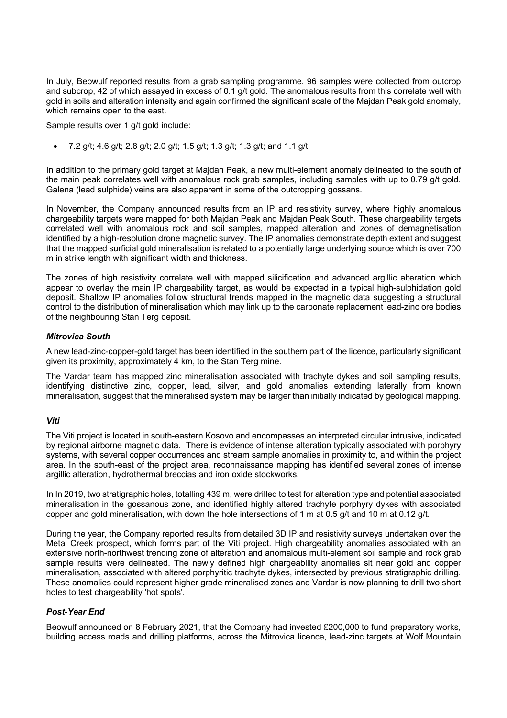In July, Beowulf reported results from a grab sampling programme. 96 samples were collected from outcrop and subcrop, 42 of which assayed in excess of 0.1 g/t gold. The anomalous results from this correlate well with gold in soils and alteration intensity and again confirmed the significant scale of the Majdan Peak gold anomaly, which remains open to the east.

Sample results over 1 g/t gold include:

• 7.2 g/t; 4.6 g/t; 2.8 g/t; 2.0 g/t; 1.5 g/t; 1.3 g/t; 1.3 g/t; and 1.1 g/t.

In addition to the primary gold target at Majdan Peak, a new multi-element anomaly delineated to the south of the main peak correlates well with anomalous rock grab samples, including samples with up to 0.79 g/t gold. Galena (lead sulphide) veins are also apparent in some of the outcropping gossans.

In November, the Company announced results from an IP and resistivity survey, where highly anomalous chargeability targets were mapped for both Majdan Peak and Majdan Peak South. These chargeability targets correlated well with anomalous rock and soil samples, mapped alteration and zones of demagnetisation identified by a high-resolution drone magnetic survey. The IP anomalies demonstrate depth extent and suggest that the mapped surficial gold mineralisation is related to a potentially large underlying source which is over 700 m in strike length with significant width and thickness.

The zones of high resistivity correlate well with mapped silicification and advanced argillic alteration which appear to overlay the main IP chargeability target, as would be expected in a typical high-sulphidation gold deposit. Shallow IP anomalies follow structural trends mapped in the magnetic data suggesting a structural control to the distribution of mineralisation which may link up to the carbonate replacement lead-zinc ore bodies of the neighbouring Stan Terg deposit.

# *Mitrovica South*

A new lead-zinc-copper-gold target has been identified in the southern part of the licence, particularly significant given its proximity, approximately 4 km, to the Stan Terg mine.

The Vardar team has mapped zinc mineralisation associated with trachyte dykes and soil sampling results, identifying distinctive zinc, copper, lead, silver, and gold anomalies extending laterally from known mineralisation, suggest that the mineralised system may be larger than initially indicated by geological mapping.

### *Viti*

The Viti project is located in south-eastern Kosovo and encompasses an interpreted circular intrusive, indicated by regional airborne magnetic data. There is evidence of intense alteration typically associated with porphyry systems, with several copper occurrences and stream sample anomalies in proximity to, and within the project area. In the south-east of the project area, reconnaissance mapping has identified several zones of intense argillic alteration, hydrothermal breccias and iron oxide stockworks.

In In 2019, two stratigraphic holes, totalling 439 m, were drilled to test for alteration type and potential associated mineralisation in the gossanous zone, and identified highly altered trachyte porphyry dykes with associated copper and gold mineralisation, with down the hole intersections of 1 m at 0.5 g/t and 10 m at 0.12 g/t.

During the year, the Company reported results from detailed 3D IP and resistivity surveys undertaken over the Metal Creek prospect, which forms part of the Viti project. High chargeability anomalies associated with an extensive north-northwest trending zone of alteration and anomalous multi-element soil sample and rock grab sample results were delineated. The newly defined high chargeability anomalies sit near gold and copper mineralisation, associated with altered porphyritic trachyte dykes, intersected by previous stratigraphic drilling. These anomalies could represent higher grade mineralised zones and Vardar is now planning to drill two short holes to test chargeability 'hot spots'.

# *Post-Year End*

Beowulf announced on 8 February 2021, that the Company had invested £200,000 to fund preparatory works, building access roads and drilling platforms, across the Mitrovica licence, lead-zinc targets at Wolf Mountain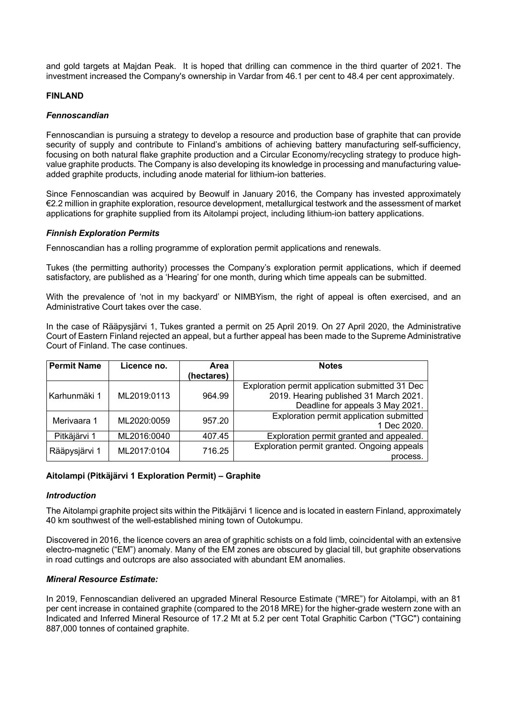and gold targets at Majdan Peak. It is hoped that drilling can commence in the third quarter of 2021. The investment increased the Company's ownership in Vardar from 46.1 per cent to 48.4 per cent approximately.

# **FINLAND**

# *Fennoscandian*

Fennoscandian is pursuing a strategy to develop a resource and production base of graphite that can provide security of supply and contribute to Finland's ambitions of achieving battery manufacturing self-sufficiency, focusing on both natural flake graphite production and a Circular Economy/recycling strategy to produce highvalue graphite products. The Company is also developing its knowledge in processing and manufacturing valueadded graphite products, including anode material for lithium-ion batteries.

Since Fennoscandian was acquired by Beowulf in January 2016, the Company has invested approximately €2.2 million in graphite exploration, resource development, metallurgical testwork and the assessment of market applications for graphite supplied from its Aitolampi project, including lithium-ion battery applications.

# *Finnish Exploration Permits*

Fennoscandian has a rolling programme of exploration permit applications and renewals.

Tukes (the permitting authority) processes the Company's exploration permit applications, which if deemed satisfactory, are published as a 'Hearing' for one month, during which time appeals can be submitted.

With the prevalence of 'not in my backyard' or NIMBYism, the right of appeal is often exercised, and an Administrative Court takes over the case.

In the case of Rääpysjärvi 1, Tukes granted a permit on 25 April 2019. On 27 April 2020, the Administrative Court of Eastern Finland rejected an appeal, but a further appeal has been made to the Supreme Administrative Court of Finland. The case continues.

| <b>Permit Name</b> | Licence no. | Area       | <b>Notes</b>                                    |
|--------------------|-------------|------------|-------------------------------------------------|
|                    |             | (hectares) |                                                 |
|                    |             |            | Exploration permit application submitted 31 Dec |
| Karhunmäki 1       | ML2019:0113 | 964.99     | 2019. Hearing published 31 March 2021.          |
|                    |             |            | Deadline for appeals 3 May 2021.                |
| Merivaara 1        | ML2020:0059 | 957.20     | Exploration permit application submitted        |
|                    |             |            | 1 Dec 2020.                                     |
| Pitkäjärvi 1       | ML2016:0040 | 407.45     | Exploration permit granted and appealed.        |
|                    | ML2017:0104 | 716.25     | Exploration permit granted. Ongoing appeals     |
| Rääpysjärvi 1      |             |            | process.                                        |

# **Aitolampi (Pitkäjärvi 1 Exploration Permit) – Graphite**

### *Introduction*

The Aitolampi graphite project sits within the Pitkäjärvi 1 licence and is located in eastern Finland, approximately 40 km southwest of the well-established mining town of Outokumpu.

Discovered in 2016, the licence covers an area of graphitic schists on a fold limb, coincidental with an extensive electro-magnetic ("EM") anomaly. Many of the EM zones are obscured by glacial till, but graphite observations in road cuttings and outcrops are also associated with abundant EM anomalies.

### *Mineral Resource Estimate:*

In 2019, Fennoscandian delivered an upgraded Mineral Resource Estimate ("MRE") for Aitolampi, with an 81 per cent increase in contained graphite (compared to the 2018 MRE) for the higher-grade western zone with an Indicated and Inferred Mineral Resource of 17.2 Mt at 5.2 per cent Total Graphitic Carbon ("TGC") containing 887,000 tonnes of contained graphite.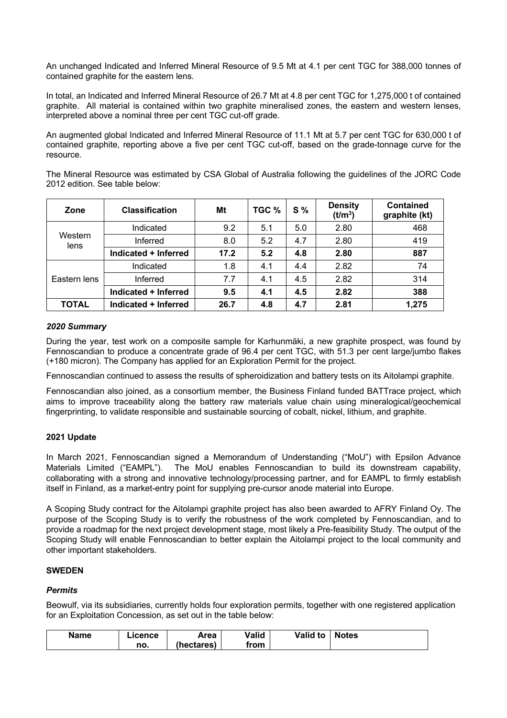An unchanged Indicated and Inferred Mineral Resource of 9.5 Mt at 4.1 per cent TGC for 388,000 tonnes of contained graphite for the eastern lens.

In total, an Indicated and Inferred Mineral Resource of 26.7 Mt at 4.8 per cent TGC for 1,275,000 t of contained graphite. All material is contained within two graphite mineralised zones, the eastern and western lenses, interpreted above a nominal three per cent TGC cut-off grade.

An augmented global Indicated and Inferred Mineral Resource of 11.1 Mt at 5.7 per cent TGC for 630,000 t of contained graphite, reporting above a five per cent TGC cut-off, based on the grade-tonnage curve for the resource.

The Mineral Resource was estimated by CSA Global of Australia following the guidelines of the JORC Code 2012 edition. See table below:

| Zone            | <b>Classification</b> | Mt   | TGC % | $S\%$ | <b>Density</b><br>(t/m <sup>3</sup> ) | <b>Contained</b><br>graphite (kt) |
|-----------------|-----------------------|------|-------|-------|---------------------------------------|-----------------------------------|
|                 | Indicated             | 9.2  | 5.1   | 5.0   | 2.80                                  | 468                               |
| Western<br>lens | Inferred              | 8.0  | 5.2   | 4.7   | 2.80                                  | 419                               |
|                 | Indicated + Inferred  | 17.2 | 5.2   | 4.8   | 2.80                                  | 887                               |
|                 | Indicated             | 1.8  | 4.1   | 4.4   | 2.82                                  | 74                                |
| Eastern lens    | Inferred              | 7.7  | 4.1   | 4.5   | 2.82                                  | 314                               |
|                 | Indicated + Inferred  | 9.5  | 4.1   | 4.5   | 2.82                                  | 388                               |
| <b>TOTAL</b>    | Indicated + Inferred  | 26.7 | 4.8   | 4.7   | 2.81                                  | 1,275                             |

# *2020 Summary*

During the year, test work on a composite sample for Karhunmäki, a new graphite prospect, was found by Fennoscandian to produce a concentrate grade of 96.4 per cent TGC, with 51.3 per cent large/jumbo flakes (+180 micron). The Company has applied for an Exploration Permit for the project.

Fennoscandian continued to assess the results of spheroidization and battery tests on its Aitolampi graphite.

Fennoscandian also joined, as a consortium member, the Business Finland funded BATTrace project, which aims to improve traceability along the battery raw materials value chain using mineralogical/geochemical fingerprinting, to validate responsible and sustainable sourcing of cobalt, nickel, lithium, and graphite.

# **2021 Update**

In March 2021, Fennoscandian signed a Memorandum of Understanding ("MoU") with Epsilon Advance Materials Limited ("EAMPL"). The MoU enables Fennoscandian to build its downstream capability, collaborating with a strong and innovative technology/processing partner, and for EAMPL to firmly establish itself in Finland, as a market-entry point for supplying pre-cursor anode material into Europe.

A Scoping Study contract for the Aitolampi graphite project has also been awarded to AFRY Finland Oy. The purpose of the Scoping Study is to verify the robustness of the work completed by Fennoscandian, and to provide a roadmap for the next project development stage, most likely a Pre-feasibility Study. The output of the Scoping Study will enable Fennoscandian to better explain the Aitolampi project to the local community and other important stakeholders.

### **SWEDEN**

# *Permits*

Beowulf, via its subsidiaries, currently holds four exploration permits, together with one registered application for an Exploitation Concession, as set out in the table below:

| <b>Name</b> | .icence | Area       | Valid | <b>Valid to</b> | <b>Notes</b> |
|-------------|---------|------------|-------|-----------------|--------------|
|             | no.     | (hectares) | from  |                 |              |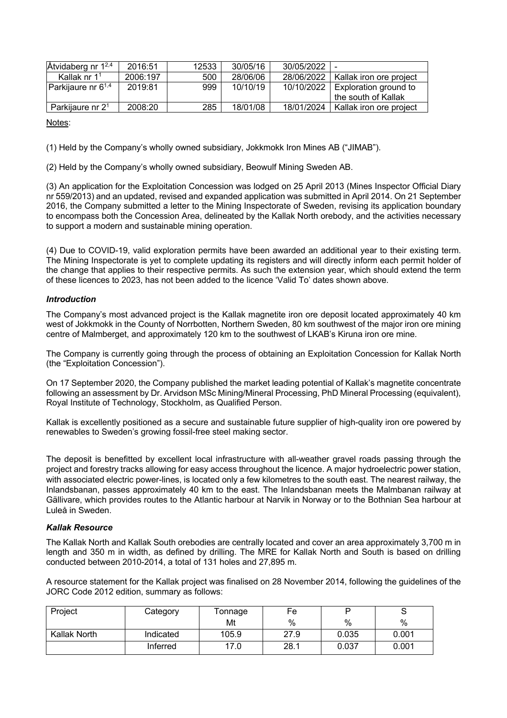| $\AA$ tvidaberg nr 1 <sup>2,4</sup> | 2016:51  | 12533 | 30/05/16 | 30/05/2022   |                         |
|-------------------------------------|----------|-------|----------|--------------|-------------------------|
| Kallak nr $11$                      | 2006:197 | 500   | 28/06/06 | 28/06/2022 1 | Kallak iron ore project |
| Parkijaure nr 6 <sup>1,4</sup>      | 2019:81  | 999   | 10/10/19 | 10/10/2022   | Exploration ground to   |
|                                     |          |       |          |              | the south of Kallak     |
| Parkijaure nr 2 <sup>1</sup>        | 2008:20  | 285   | 18/01/08 | 18/01/2024   | Kallak iron ore project |

Notes:

(1) Held by the Company's wholly owned subsidiary, Jokkmokk Iron Mines AB ("JIMAB").

(2) Held by the Company's wholly owned subsidiary, Beowulf Mining Sweden AB.

(3) An application for the Exploitation Concession was lodged on 25 April 2013 (Mines Inspector Official Diary nr 559/2013) and an updated, revised and expanded application was submitted in April 2014. On 21 September 2016, the Company submitted a letter to the Mining Inspectorate of Sweden, revising its application boundary to encompass both the Concession Area, delineated by the Kallak North orebody, and the activities necessary to support a modern and sustainable mining operation.

(4) Due to COVID-19, valid exploration permits have been awarded an additional year to their existing term. The Mining Inspectorate is yet to complete updating its registers and will directly inform each permit holder of the change that applies to their respective permits. As such the extension year, which should extend the term of these licences to 2023, has not been added to the licence 'Valid To' dates shown above.

# *Introduction*

The Company's most advanced project is the Kallak magnetite iron ore deposit located approximately 40 km west of Jokkmokk in the County of Norrbotten, Northern Sweden, 80 km southwest of the major iron ore mining centre of Malmberget, and approximately 120 km to the southwest of LKAB's Kiruna iron ore mine.

The Company is currently going through the process of obtaining an Exploitation Concession for Kallak North (the "Exploitation Concession").

On 17 September 2020, the Company published the market leading potential of Kallak's magnetite concentrate following an assessment by Dr. Arvidson MSc Mining/Mineral Processing, PhD Mineral Processing (equivalent), Royal Institute of Technology, Stockholm, as Qualified Person.

Kallak is excellently positioned as a secure and sustainable future supplier of high-quality iron ore powered by renewables to Sweden's growing fossil-free steel making sector.

The deposit is benefitted by excellent local infrastructure with all-weather gravel roads passing through the project and forestry tracks allowing for easy access throughout the licence. A major hydroelectric power station, with associated electric power-lines, is located only a few kilometres to the south east. The nearest railway, the Inlandsbanan, passes approximately 40 km to the east. The Inlandsbanan meets the Malmbanan railway at Gällivare, which provides routes to the Atlantic harbour at Narvik in Norway or to the Bothnian Sea harbour at Luleå in Sweden.

# *Kallak Resource*

The Kallak North and Kallak South orebodies are centrally located and cover an area approximately 3,700 m in length and 350 m in width, as defined by drilling. The MRE for Kallak North and South is based on drilling conducted between 2010-2014, a total of 131 holes and 27,895 m.

A resource statement for the Kallak project was finalised on 28 November 2014, following the guidelines of the JORC Code 2012 edition, summary as follows:

| Project      | Category  | Tonnage | Fe   |       |       |
|--------------|-----------|---------|------|-------|-------|
|              |           | Mt      | %    | %     | %     |
| Kallak North | Indicated | 105.9   | 27.9 | 0.035 | 0.001 |
|              | Inferred  | 17.0    | 28.1 | 0.037 | 0.001 |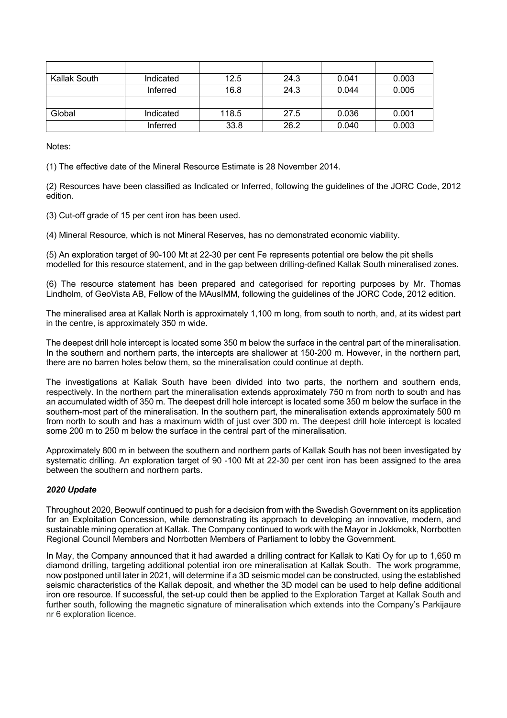| Kallak South | Indicated | 12.5  | 24.3 | 0.041 | 0.003 |
|--------------|-----------|-------|------|-------|-------|
|              | Inferred  | 16.8  | 24.3 | 0.044 | 0.005 |
|              |           |       |      |       |       |
| Global       | Indicated | 118.5 | 27.5 | 0.036 | 0.001 |
|              | Inferred  | 33.8  | 26.2 | 0.040 | 0.003 |

Notes:

(1) The effective date of the Mineral Resource Estimate is 28 November 2014.

(2) Resources have been classified as Indicated or Inferred, following the guidelines of the JORC Code, 2012 edition.

(3) Cut-off grade of 15 per cent iron has been used.

(4) Mineral Resource, which is not Mineral Reserves, has no demonstrated economic viability.

(5) An exploration target of 90-100 Mt at 22-30 per cent Fe represents potential ore below the pit shells modelled for this resource statement, and in the gap between drilling-defined Kallak South mineralised zones.

(6) The resource statement has been prepared and categorised for reporting purposes by Mr. Thomas Lindholm, of GeoVista AB, Fellow of the MAusIMM, following the guidelines of the JORC Code, 2012 edition.

The mineralised area at Kallak North is approximately 1,100 m long, from south to north, and, at its widest part in the centre, is approximately 350 m wide.

The deepest drill hole intercept is located some 350 m below the surface in the central part of the mineralisation. In the southern and northern parts, the intercepts are shallower at 150-200 m. However, in the northern part, there are no barren holes below them, so the mineralisation could continue at depth.

The investigations at Kallak South have been divided into two parts, the northern and southern ends, respectively. In the northern part the mineralisation extends approximately 750 m from north to south and has an accumulated width of 350 m. The deepest drill hole intercept is located some 350 m below the surface in the southern-most part of the mineralisation. In the southern part, the mineralisation extends approximately 500 m from north to south and has a maximum width of just over 300 m. The deepest drill hole intercept is located some 200 m to 250 m below the surface in the central part of the mineralisation.

Approximately 800 m in between the southern and northern parts of Kallak South has not been investigated by systematic drilling. An exploration target of 90 -100 Mt at 22-30 per cent iron has been assigned to the area between the southern and northern parts.

# *2020 Update*

Throughout 2020, Beowulf continued to push for a decision from with the Swedish Government on its application for an Exploitation Concession, while demonstrating its approach to developing an innovative, modern, and sustainable mining operation at Kallak. The Company continued to work with the Mayor in Jokkmokk, Norrbotten Regional Council Members and Norrbotten Members of Parliament to lobby the Government.

In May, the Company announced that it had awarded a drilling contract for Kallak to Kati Oy for up to 1,650 m diamond drilling, targeting additional potential iron ore mineralisation at Kallak South. The work programme, now postponed until later in 2021, will determine if a 3D seismic model can be constructed, using the established seismic characteristics of the Kallak deposit, and whether the 3D model can be used to help define additional iron ore resource. If successful, the set-up could then be applied to the Exploration Target at Kallak South and further south, following the magnetic signature of mineralisation which extends into the Company's Parkijaure nr 6 exploration licence.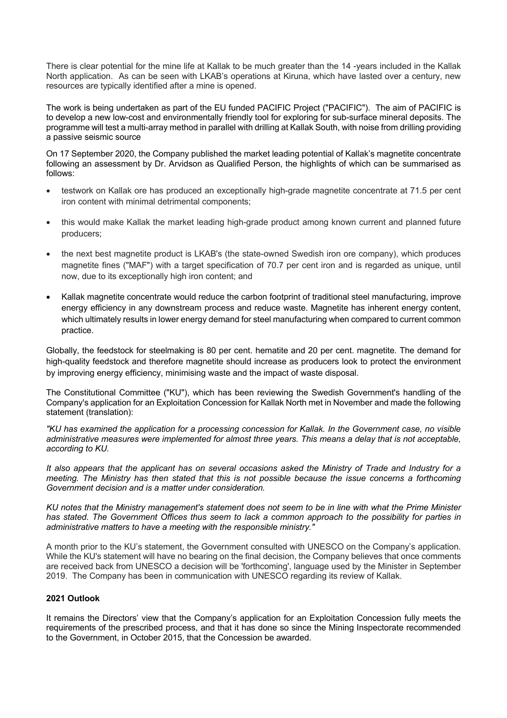There is clear potential for the mine life at Kallak to be much greater than the 14 -years included in the Kallak North application. As can be seen with LKAB's operations at Kiruna, which have lasted over a century, new resources are typically identified after a mine is opened.

The work is being undertaken as part of the EU funded PACIFIC Project ("PACIFIC"). The aim of PACIFIC is to develop a new low-cost and environmentally friendly tool for exploring for sub-surface mineral deposits. The programme will test a multi-array method in parallel with drilling at Kallak South, with noise from drilling providing a passive seismic source

On 17 September 2020, the Company published the market leading potential of Kallak's magnetite concentrate following an assessment by Dr. Arvidson as Qualified Person, the highlights of which can be summarised as follows:

- testwork on Kallak ore has produced an exceptionally high-grade magnetite concentrate at 71.5 per cent iron content with minimal detrimental components;
- this would make Kallak the market leading high-grade product among known current and planned future producers;
- the next best magnetite product is LKAB's (the state-owned Swedish iron ore company), which produces magnetite fines ("MAF") with a target specification of 70.7 per cent iron and is regarded as unique, until now, due to its exceptionally high iron content; and
- Kallak magnetite concentrate would reduce the carbon footprint of traditional steel manufacturing, improve energy efficiency in any downstream process and reduce waste. Magnetite has inherent energy content, which ultimately results in lower energy demand for steel manufacturing when compared to current common practice.

Globally, the feedstock for steelmaking is 80 per cent. hematite and 20 per cent. magnetite. The demand for high-quality feedstock and therefore magnetite should increase as producers look to protect the environment by improving energy efficiency, minimising waste and the impact of waste disposal.

The Constitutional Committee ("KU"), which has been reviewing the Swedish Government's handling of the Company's application for an Exploitation Concession for Kallak North met in November and made the following statement (translation):

*"KU has examined the application for a processing concession for Kallak. In the Government case, no visible administrative measures were implemented for almost three years. This means a delay that is not acceptable, according to KU.*

*It also appears that the applicant has on several occasions asked the Ministry of Trade and Industry for a meeting. The Ministry has then stated that this is not possible because the issue concerns a forthcoming Government decision and is a matter under consideration.*

*KU notes that the Ministry management's statement does not seem to be in line with what the Prime Minister has stated. The Government Offices thus seem to lack a common approach to the possibility for parties in administrative matters to have a meeting with the responsible ministry."*

A month prior to the KU's statement, the Government consulted with UNESCO on the Company's application. While the KU's statement will have no bearing on the final decision, the Company believes that once comments are received back from UNESCO a decision will be 'forthcoming', language used by the Minister in September 2019. The Company has been in communication with UNESCO regarding its review of Kallak.

# **2021 Outlook**

It remains the Directors' view that the Company's application for an Exploitation Concession fully meets the requirements of the prescribed process, and that it has done so since the Mining Inspectorate recommended to the Government, in October 2015, that the Concession be awarded.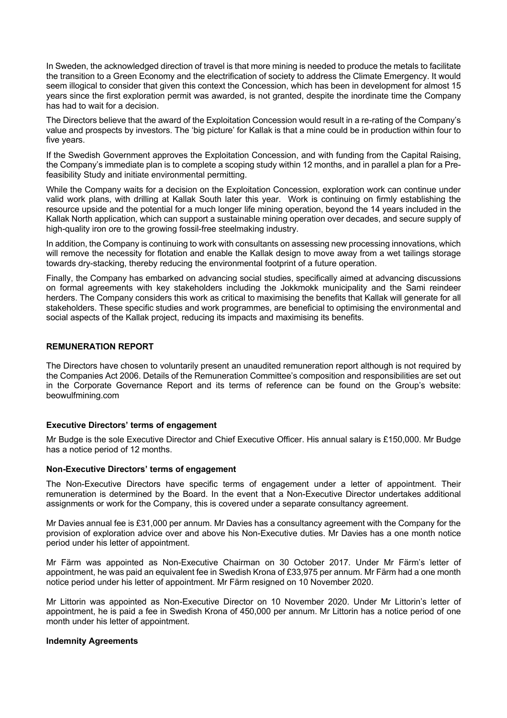In Sweden, the acknowledged direction of travel is that more mining is needed to produce the metals to facilitate the transition to a Green Economy and the electrification of society to address the Climate Emergency. It would seem illogical to consider that given this context the Concession, which has been in development for almost 15 years since the first exploration permit was awarded, is not granted, despite the inordinate time the Company has had to wait for a decision.

The Directors believe that the award of the Exploitation Concession would result in a re-rating of the Company's value and prospects by investors. The 'big picture' for Kallak is that a mine could be in production within four to five years.

If the Swedish Government approves the Exploitation Concession, and with funding from the Capital Raising, the Company's immediate plan is to complete a scoping study within 12 months, and in parallel a plan for a Prefeasibility Study and initiate environmental permitting.

While the Company waits for a decision on the Exploitation Concession, exploration work can continue under valid work plans, with drilling at Kallak South later this year. Work is continuing on firmly establishing the resource upside and the potential for a much longer life mining operation, beyond the 14 years included in the Kallak North application, which can support a sustainable mining operation over decades, and secure supply of high-quality iron ore to the growing fossil-free steelmaking industry.

In addition, the Company is continuing to work with consultants on assessing new processing innovations, which will remove the necessity for flotation and enable the Kallak design to move away from a wet tailings storage towards dry-stacking, thereby reducing the environmental footprint of a future operation.

Finally, the Company has embarked on advancing social studies, specifically aimed at advancing discussions on formal agreements with key stakeholders including the Jokkmokk municipality and the Sami reindeer herders. The Company considers this work as critical to maximising the benefits that Kallak will generate for all stakeholders. These specific studies and work programmes, are beneficial to optimising the environmental and social aspects of the Kallak project, reducing its impacts and maximising its benefits.

# **REMUNERATION REPORT**

The Directors have chosen to voluntarily present an unaudited remuneration report although is not required by the Companies Act 2006. Details of the Remuneration Committee's composition and responsibilities are set out in the Corporate Governance Report and its terms of reference can be found on the Group's website: beowulfmining.com

### **Executive Directors' terms of engagement**

Mr Budge is the sole Executive Director and Chief Executive Officer. His annual salary is £150,000. Mr Budge has a notice period of 12 months.

### **Non-Executive Directors' terms of engagement**

The Non-Executive Directors have specific terms of engagement under a letter of appointment. Their remuneration is determined by the Board. In the event that a Non-Executive Director undertakes additional assignments or work for the Company, this is covered under a separate consultancy agreement.

Mr Davies annual fee is £31,000 per annum. Mr Davies has a consultancy agreement with the Company for the provision of exploration advice over and above his Non-Executive duties. Mr Davies has a one month notice period under his letter of appointment.

Mr Färm was appointed as Non-Executive Chairman on 30 October 2017. Under Mr Färm's letter of appointment, he was paid an equivalent fee in Swedish Krona of £33,975 per annum. Mr Färm had a one month notice period under his letter of appointment. Mr Färm resigned on 10 November 2020.

Mr Littorin was appointed as Non-Executive Director on 10 November 2020. Under Mr Littorin's letter of appointment, he is paid a fee in Swedish Krona of 450,000 per annum. Mr Littorin has a notice period of one month under his letter of appointment.

### **Indemnity Agreements**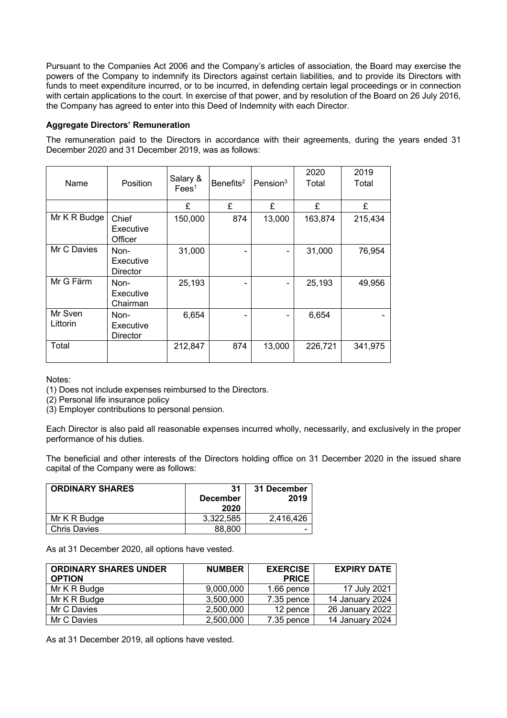Pursuant to the Companies Act 2006 and the Company's articles of association, the Board may exercise the powers of the Company to indemnify its Directors against certain liabilities, and to provide its Directors with funds to meet expenditure incurred, or to be incurred, in defending certain legal proceedings or in connection with certain applications to the court. In exercise of that power, and by resolution of the Board on 26 July 2016, the Company has agreed to enter into this Deed of Indemnity with each Director.

# **Aggregate Directors' Remuneration**

The remuneration paid to the Directors in accordance with their agreements, during the years ended 31 December 2020 and 31 December 2019, was as follows:

| Name                | Position                      | Salary &<br>Fees <sup>1</sup> | Benefits <sup>2</sup> | Pension $3$                                                                                                                                       | 2020<br>Total | 2019<br>Total |
|---------------------|-------------------------------|-------------------------------|-----------------------|---------------------------------------------------------------------------------------------------------------------------------------------------|---------------|---------------|
|                     |                               | £                             | £                     | £                                                                                                                                                 | £             | £             |
| Mr K R Budge        | Chief<br>Executive<br>Officer | 150,000                       | 874                   | 13,000                                                                                                                                            | 163,874       | 215,434       |
| Mr C Davies         | Non-<br>Executive<br>Director | 31,000                        |                       | -                                                                                                                                                 | 31,000        | 76,954        |
| Mr G Färm           | Non-<br>Executive<br>Chairman | 25,193                        |                       | $\hskip1.6pt\hskip1.6pt\hskip1.6pt\hskip1.6pt\hskip1.6pt\hskip1.6pt\hskip1.6pt\hskip1.6pt\hskip1.6pt\hskip1.6pt\hskip1.6pt\hskip1.6pt\hskip1.6pt$ | 25,193        | 49,956        |
| Mr Sven<br>Littorin | Non-<br>Executive<br>Director | 6,654                         |                       | -                                                                                                                                                 | 6,654         |               |
| Total               |                               | 212,847                       | 874                   | 13,000                                                                                                                                            | 226,721       | 341,975       |

Notes:

(1) Does not include expenses reimbursed to the Directors.

(2) Personal life insurance policy

(3) Employer contributions to personal pension.

Each Director is also paid all reasonable expenses incurred wholly, necessarily, and exclusively in the proper performance of his duties.

The beneficial and other interests of the Directors holding office on 31 December 2020 in the issued share capital of the Company were as follows:

| <b>ORDINARY SHARES</b> | 31<br><b>December</b><br>2020 | 31 December<br>2019 |
|------------------------|-------------------------------|---------------------|
| Mr K R Budge           | 3.322.585                     | 2,416,426           |
| <b>Chris Davies</b>    | 88,800                        | -                   |

As at 31 December 2020, all options have vested.

| <b>ORDINARY SHARES UNDER</b><br><b>OPTION</b> | <b>NUMBER</b> | <b>EXERCISE</b><br><b>PRICE</b> | <b>EXPIRY DATE</b> |
|-----------------------------------------------|---------------|---------------------------------|--------------------|
| Mr K R Budge                                  | 9,000,000     | 1.66 pence                      | 17 July 2021       |
| Mr K R Budge                                  | 3,500,000     | 7.35 pence                      | 14 January 2024    |
| Mr C Davies                                   | 2,500,000     | 12 pence                        | 26 January 2022    |
| Mr C Davies                                   | 2,500,000     | 7.35 pence                      | 14 January 2024    |

As at 31 December 2019, all options have vested.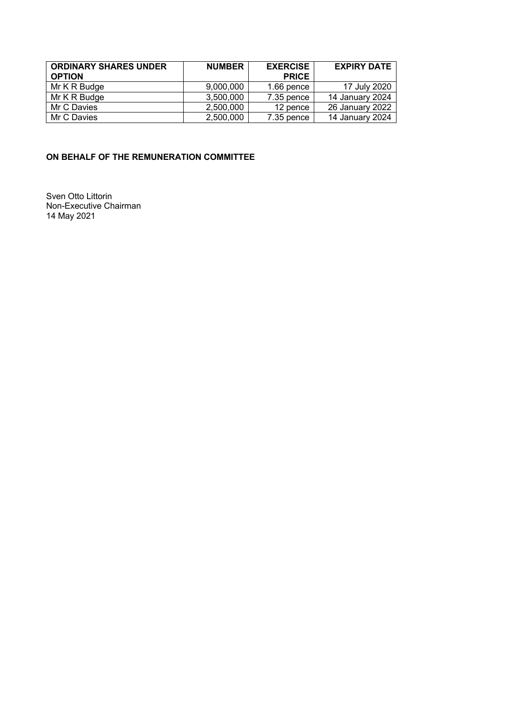| <b>ORDINARY SHARES UNDER</b><br><b>OPTION</b> | <b>NUMBER</b> | <b>EXERCISE</b><br><b>PRICE</b> | <b>EXPIRY DATE</b> |
|-----------------------------------------------|---------------|---------------------------------|--------------------|
| Mr K R Budge                                  | 9,000,000     | $1.66$ pence                    | 17 July 2020       |
| Mr K R Budge                                  | 3,500,000     | 7.35 pence                      | 14 January 2024    |
| Mr C Davies                                   | 2,500,000     | 12 pence                        | 26 January 2022    |
| Mr C Davies                                   | 2,500,000     | 7.35 pence                      | 14 January 2024    |

# **ON BEHALF OF THE REMUNERATION COMMITTEE**

Sven Otto Littorin Non-Executive Chairman 14 May 2021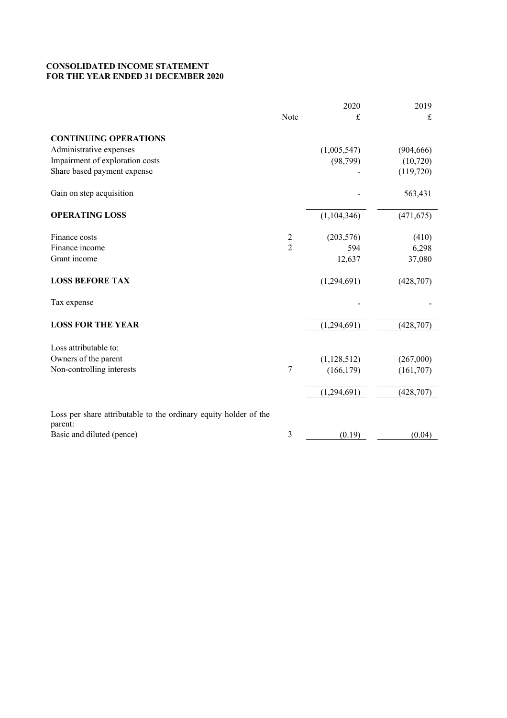# **CONSOLIDATED INCOME STATEMENT FOR THE YEAR ENDED 31 DECEMBER 2020**

|                                                                             |                | 2020        | 2019       |
|-----------------------------------------------------------------------------|----------------|-------------|------------|
|                                                                             | Note           | £           | £          |
| <b>CONTINUING OPERATIONS</b>                                                |                |             |            |
| Administrative expenses                                                     |                | (1,005,547) | (904, 666) |
| Impairment of exploration costs                                             |                | (98, 799)   | (10, 720)  |
| Share based payment expense                                                 |                |             | (119,720)  |
| Gain on step acquisition                                                    |                |             | 563,431    |
| <b>OPERATING LOSS</b>                                                       |                | (1,104,346) | (471, 675) |
| Finance costs                                                               | $\overline{c}$ | (203, 576)  | (410)      |
| Finance income                                                              | $\overline{2}$ | 594         | 6,298      |
| Grant income                                                                |                | 12,637      | 37,080     |
| <b>LOSS BEFORE TAX</b>                                                      |                | (1,294,691) | (428,707)  |
| Tax expense                                                                 |                |             |            |
| <b>LOSS FOR THE YEAR</b>                                                    |                | (1,294,691) | (428, 707) |
| Loss attributable to:                                                       |                |             |            |
| Owners of the parent                                                        |                | (1,128,512) | (267,000)  |
| Non-controlling interests                                                   | 7              | (166, 179)  | (161,707)  |
|                                                                             |                | (1,294,691) | (428, 707) |
| Loss per share attributable to the ordinary equity holder of the<br>parent: |                |             |            |
| Basic and diluted (pence)                                                   | 3              | (0.19)      | (0.04)     |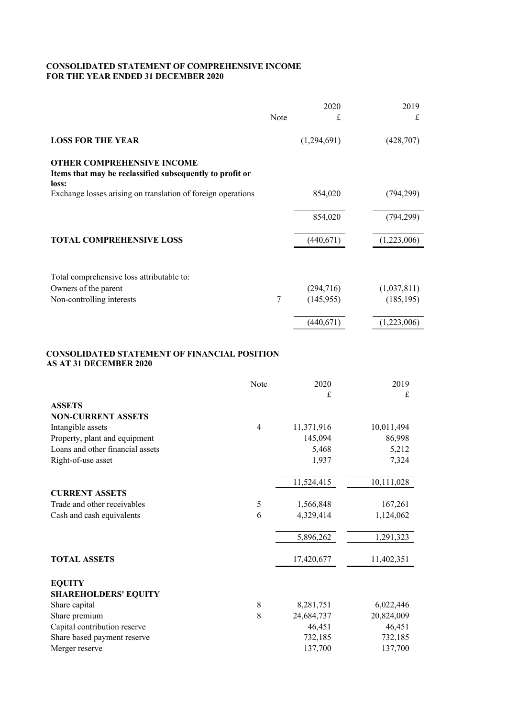# **CONSOLIDATED STATEMENT OF COMPREHENSIVE INCOME FOR THE YEAR ENDED 31 DECEMBER 2020**

|                                                                                                        |                | 2020        | 2019        |
|--------------------------------------------------------------------------------------------------------|----------------|-------------|-------------|
|                                                                                                        | Note           | £           | £           |
| <b>LOSS FOR THE YEAR</b>                                                                               |                | (1,294,691) | (428,707)   |
| <b>OTHER COMPREHENSIVE INCOME</b><br>Items that may be reclassified subsequently to profit or<br>loss: |                |             |             |
| Exchange losses arising on translation of foreign operations                                           |                | 854,020     | (794, 299)  |
|                                                                                                        |                | 854,020     | (794, 299)  |
| TOTAL COMPREHENSIVE LOSS                                                                               |                | (440, 671)  | (1,223,006) |
|                                                                                                        |                |             |             |
| Total comprehensive loss attributable to:                                                              |                |             |             |
| Owners of the parent                                                                                   |                | (294,716)   | (1,037,811) |
| Non-controlling interests                                                                              | 7              | (145, 955)  | (185, 195)  |
|                                                                                                        |                | (440, 671)  | (1,223,006) |
| CONSOLIDATED STATEMENT OF FINANCIAL POSITION<br><b>AS AT 31 DECEMBER 2020</b>                          |                |             |             |
|                                                                                                        | Note           | 2020        | 2019        |
|                                                                                                        |                | £           | $\pounds$   |
| <b>ASSETS</b>                                                                                          |                |             |             |
| <b>NON-CURRENT ASSETS</b>                                                                              |                |             |             |
| Intangible assets                                                                                      | $\overline{4}$ | 11,371,916  | 10,011,494  |
| Property, plant and equipment                                                                          |                | 145,094     | 86,998      |
| Loans and other financial assets                                                                       |                | 5,468       | 5,212       |
| Right-of-use asset                                                                                     |                | 1,937       | 7,324       |
|                                                                                                        |                | 11,524,415  | 10,111,028  |

| <b>CURRENT ASSETS</b>        |   |            |            |
|------------------------------|---|------------|------------|
| Trade and other receivables  | 5 | 1,566,848  | 167,261    |
| Cash and cash equivalents    | 6 | 4,329,414  | 1,124,062  |
|                              |   | 5,896,262  | 1,291,323  |
| <b>TOTAL ASSETS</b>          |   | 17,420,677 | 11,402,351 |
| <b>EQUITY</b>                |   |            |            |
| <b>SHAREHOLDERS' EQUITY</b>  |   |            |            |
| Share capital                | 8 | 8,281,751  | 6,022,446  |
| Share premium                | 8 | 24,684,737 | 20,824,009 |
| Capital contribution reserve |   | 46,451     | 46,451     |
| Share based payment reserve  |   | 732,185    | 732,185    |
| Merger reserve               |   | 137,700    | 137,700    |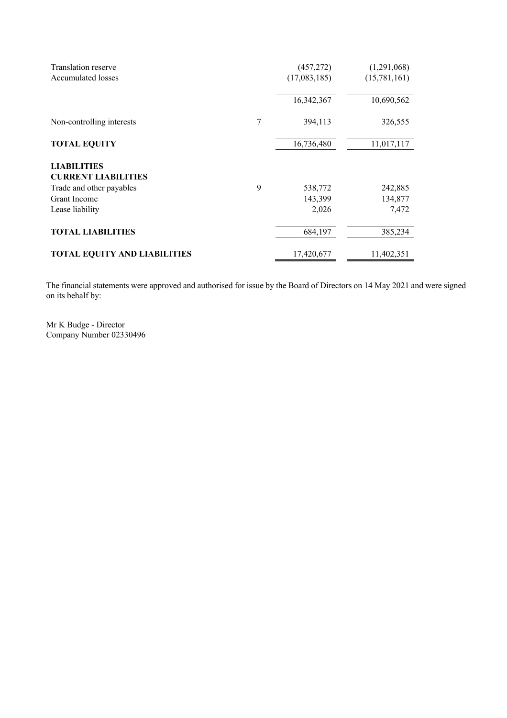| Translation reserve<br><b>Accumulated losses</b> |   | (457,272)<br>(17,083,185) | (1,291,068)<br>(15,781,161) |
|--------------------------------------------------|---|---------------------------|-----------------------------|
|                                                  |   | 16,342,367                | 10,690,562                  |
| Non-controlling interests                        | 7 | 394,113                   | 326,555                     |
| <b>TOTAL EQUITY</b>                              |   | 16,736,480                | 11,017,117                  |
| <b>LIABILITIES</b>                               |   |                           |                             |
| <b>CURRENT LIABILITIES</b>                       |   |                           |                             |
| Trade and other payables                         | 9 | 538,772                   | 242,885                     |
| Grant Income                                     |   | 143,399                   | 134,877                     |
| Lease liability                                  |   | 2,026                     | 7,472                       |
| <b>TOTAL LIABILITIES</b>                         |   | 684,197                   | 385,234                     |
| <b>TOTAL EQUITY AND LIABILITIES</b>              |   | 17,420,677                | 11,402,351                  |

The financial statements were approved and authorised for issue by the Board of Directors on 14 May 2021 and were signed on its behalf by:

Mr K Budge - Director Company Number 02330496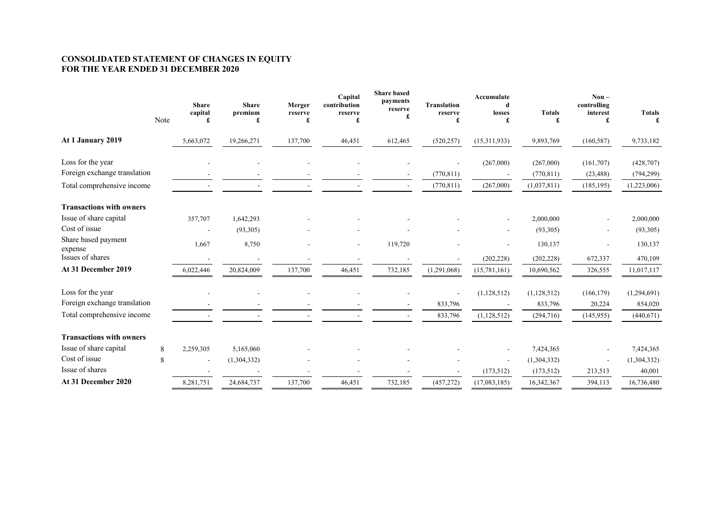#### **CONSOLIDATED STATEMENT OF CHANGES IN EQUITY FOR THE YEAR ENDED 31 DECEMBER 2020**

|                                 | Note | <b>Share</b><br>capital<br>£ | <b>Share</b><br>premium<br>£ | Merger<br>reserve<br>£ | Capital<br>contribution<br>reserve<br>£ | <b>Share based</b><br>payments<br>reserve<br>£ | <b>Translation</b><br>reserve<br>£ | Accumulate<br>d<br>losses<br>£ | <b>Totals</b><br>£ | $Non-$<br>controlling<br>interest<br>£ | <b>Totals</b><br>£ |
|---------------------------------|------|------------------------------|------------------------------|------------------------|-----------------------------------------|------------------------------------------------|------------------------------------|--------------------------------|--------------------|----------------------------------------|--------------------|
| At 1 January 2019               |      | 5,663,072                    | 19,266,271                   | 137,700                | 46,451                                  | 612,465                                        | (520, 257)                         | (15,311,933)                   | 9,893,769          | (160, 587)                             | 9,733,182          |
| Loss for the year               |      |                              |                              |                        |                                         |                                                | $\overline{\phantom{a}}$           | (267,000)                      | (267,000)          | (161,707)                              | (428, 707)         |
| Foreign exchange translation    |      |                              |                              |                        |                                         |                                                | (770, 811)                         |                                | (770, 811)         | (23, 488)                              | (794, 299)         |
| Total comprehensive income      |      |                              |                              |                        |                                         |                                                | (770, 811)                         | (267,000)                      | (1,037,811)        | (185, 195)                             | (1,223,006)        |
| <b>Transactions with owners</b> |      |                              |                              |                        |                                         |                                                |                                    |                                |                    |                                        |                    |
| Issue of share capital          |      | 357,707                      | 1,642,293                    |                        |                                         |                                                |                                    | $\blacksquare$                 | 2,000,000          |                                        | 2,000,000          |
| Cost of issue                   |      |                              | (93,305)                     |                        |                                         |                                                |                                    |                                | (93,305)           |                                        | (93,305)           |
| Share based payment<br>expense  |      | 1,667                        | 8,750                        |                        |                                         | 119,720                                        |                                    | $\blacksquare$                 | 130,137            |                                        | 130,137            |
| Issues of shares                |      | ٠                            |                              |                        |                                         |                                                |                                    | (202, 228)                     | (202, 228)         | 672,337                                | 470,109            |
| At 31 December 2019             |      | 6,022,446                    | 20,824,009                   | 137,700                | 46,451                                  | 732,185                                        | (1,291,068)                        | (15,781,161)                   | 10,690,562         | 326,555                                | 11,017,117         |
| Loss for the year               |      |                              |                              |                        |                                         |                                                |                                    | (1,128,512)                    | (1,128,512)        | (166, 179)                             | (1,294,691)        |
| Foreign exchange translation    |      |                              |                              |                        |                                         |                                                | 833,796                            |                                | 833,796            | 20,224                                 | 854,020            |
| Total comprehensive income      |      |                              |                              |                        |                                         |                                                | 833,796                            | (1,128,512)                    | (294, 716)         | (145, 955)                             | (440,671)          |
| <b>Transactions with owners</b> |      |                              |                              |                        |                                         |                                                |                                    |                                |                    |                                        |                    |
| Issue of share capital          | 8    | 2,259,305                    | 5,165,060                    |                        |                                         |                                                |                                    |                                | 7,424,365          |                                        | 7,424,365          |
| Cost of issue                   | 8    | $\overline{\phantom{a}}$     | (1,304,332)                  |                        |                                         |                                                |                                    |                                | (1,304,332)        |                                        | (1,304,332)        |
| Issue of shares                 |      |                              |                              |                        |                                         |                                                |                                    | (173,512)                      | (173, 512)         | 213,513                                | 40,001             |
| At 31 December 2020             |      | 8,281,751                    | 24,684,737                   | 137,700                | 46,451                                  | 732,185                                        | (457, 272)                         | (17,083,185)                   | 16,342,367         | 394,113                                | 16,736,480         |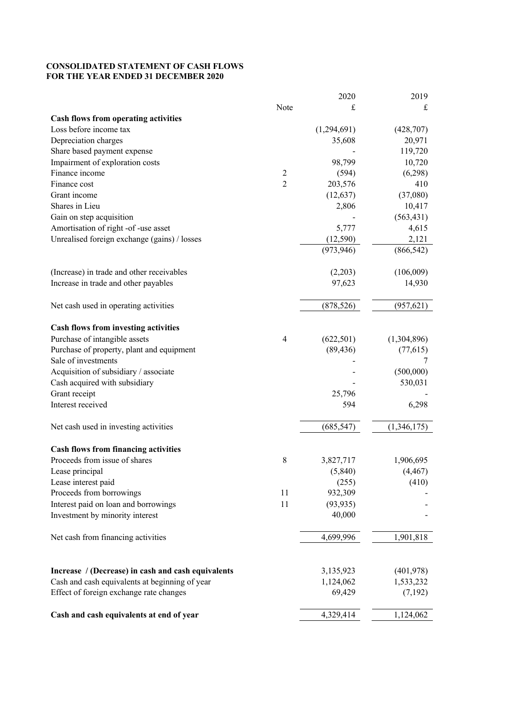# **CONSOLIDATED STATEMENT OF CASH FLOWS FOR THE YEAR ENDED 31 DECEMBER 2020**

|                                                    |                | 2020        | 2019        |
|----------------------------------------------------|----------------|-------------|-------------|
|                                                    | Note           | £           | £           |
| <b>Cash flows from operating activities</b>        |                |             |             |
| Loss before income tax                             |                | (1,294,691) | (428,707)   |
| Depreciation charges                               |                | 35,608      | 20,971      |
| Share based payment expense                        |                |             | 119,720     |
| Impairment of exploration costs                    |                | 98,799      | 10,720      |
| Finance income                                     | $\overline{c}$ | (594)       | (6,298)     |
| Finance cost                                       | $\overline{2}$ | 203,576     | 410         |
| Grant income                                       |                | (12, 637)   | (37,080)    |
| Shares in Lieu                                     |                | 2,806       | 10,417      |
| Gain on step acquisition                           |                |             | (563, 431)  |
| Amortisation of right -of -use asset               |                | 5,777       | 4,615       |
| Unrealised foreign exchange (gains) / losses       |                | (12,590)    | 2,121       |
|                                                    |                | (973, 946)  | (866, 542)  |
| (Increase) in trade and other receivables          |                | (2,203)     | (106,009)   |
| Increase in trade and other payables               |                | 97,623      | 14,930      |
| Net cash used in operating activities              |                | (878, 526)  | (957, 621)  |
| <b>Cash flows from investing activities</b>        |                |             |             |
| Purchase of intangible assets                      | $\overline{4}$ | (622, 501)  | (1,304,896) |
| Purchase of property, plant and equipment          |                | (89, 436)   | (77, 615)   |
| Sale of investments                                |                |             | 7           |
| Acquisition of subsidiary / associate              |                |             | (500,000)   |
| Cash acquired with subsidiary                      |                |             | 530,031     |
| Grant receipt                                      |                | 25,796      |             |
| Interest received                                  |                | 594         | 6,298       |
| Net cash used in investing activities              |                | (685, 547)  | (1,346,175) |
| <b>Cash flows from financing activities</b>        |                |             |             |
| Proceeds from issue of shares                      | 8              | 3,827,717   | 1,906,695   |
| Lease principal                                    |                | (5, 840)    | (4, 467)    |
| Lease interest paid                                |                | (255)       | (410)       |
| Proceeds from borrowings                           | 11             | 932,309     |             |
| Interest paid on loan and borrowings               | 11             | (93, 935)   |             |
| Investment by minority interest                    |                | 40,000      |             |
| Net cash from financing activities                 |                | 4,699,996   | 1,901,818   |
| Increase / (Decrease) in cash and cash equivalents |                | 3,135,923   | (401, 978)  |
| Cash and cash equivalents at beginning of year     |                | 1,124,062   | 1,533,232   |
| Effect of foreign exchange rate changes            |                | 69,429      | (7,192)     |
| Cash and cash equivalents at end of year           |                | 4,329,414   | 1,124,062   |
|                                                    |                |             |             |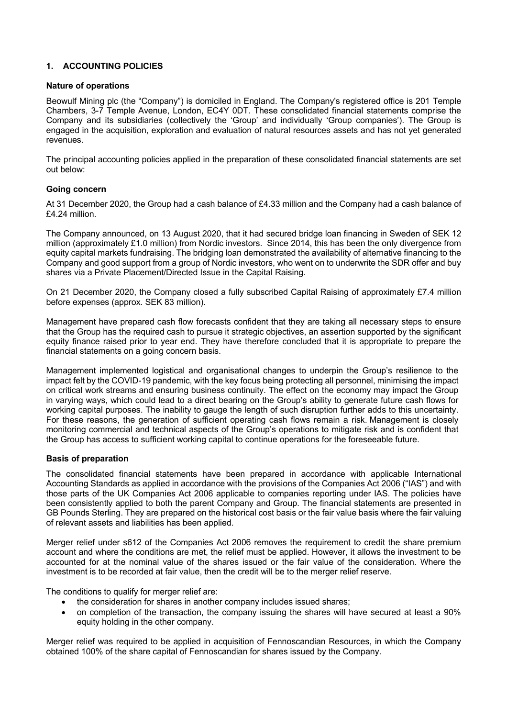# **1. ACCOUNTING POLICIES**

# **Nature of operations**

Beowulf Mining plc (the "Company") is domiciled in England. The Company's registered office is 201 Temple Chambers, 3-7 Temple Avenue, London, EC4Y 0DT. These consolidated financial statements comprise the Company and its subsidiaries (collectively the 'Group' and individually 'Group companies'). The Group is engaged in the acquisition, exploration and evaluation of natural resources assets and has not yet generated revenues.

The principal accounting policies applied in the preparation of these consolidated financial statements are set out below:

# **Going concern**

At 31 December 2020, the Group had a cash balance of £4.33 million and the Company had a cash balance of £4.24 million.

The Company announced, on 13 August 2020, that it had secured bridge loan financing in Sweden of SEK 12 million (approximately £1.0 million) from Nordic investors. Since 2014, this has been the only divergence from equity capital markets fundraising. The bridging loan demonstrated the availability of alternative financing to the Company and good support from a group of Nordic investors, who went on to underwrite the SDR offer and buy shares via a Private Placement/Directed Issue in the Capital Raising.

On 21 December 2020, the Company closed a fully subscribed Capital Raising of approximately £7.4 million before expenses (approx. SEK 83 million).

Management have prepared cash flow forecasts confident that they are taking all necessary steps to ensure that the Group has the required cash to pursue it strategic objectives, an assertion supported by the significant equity finance raised prior to year end. They have therefore concluded that it is appropriate to prepare the financial statements on a going concern basis.

Management implemented logistical and organisational changes to underpin the Group's resilience to the impact felt by the COVID-19 pandemic, with the key focus being protecting all personnel, minimising the impact on critical work streams and ensuring business continuity. The effect on the economy may impact the Group in varying ways, which could lead to a direct bearing on the Group's ability to generate future cash flows for working capital purposes. The inability to gauge the length of such disruption further adds to this uncertainty. For these reasons, the generation of sufficient operating cash flows remain a risk. Management is closely monitoring commercial and technical aspects of the Group's operations to mitigate risk and is confident that the Group has access to sufficient working capital to continue operations for the foreseeable future.

### **Basis of preparation**

The consolidated financial statements have been prepared in accordance with applicable International Accounting Standards as applied in accordance with the provisions of the Companies Act 2006 ("IAS") and with those parts of the UK Companies Act 2006 applicable to companies reporting under IAS. The policies have been consistently applied to both the parent Company and Group. The financial statements are presented in GB Pounds Sterling. They are prepared on the historical cost basis or the fair value basis where the fair valuing of relevant assets and liabilities has been applied.

Merger relief under s612 of the Companies Act 2006 removes the requirement to credit the share premium account and where the conditions are met, the relief must be applied. However, it allows the investment to be accounted for at the nominal value of the shares issued or the fair value of the consideration. Where the investment is to be recorded at fair value, then the credit will be to the merger relief reserve.

The conditions to qualify for merger relief are:

- the consideration for shares in another company includes issued shares;
- on completion of the transaction, the company issuing the shares will have secured at least a 90% equity holding in the other company.

Merger relief was required to be applied in acquisition of Fennoscandian Resources, in which the Company obtained 100% of the share capital of Fennoscandian for shares issued by the Company.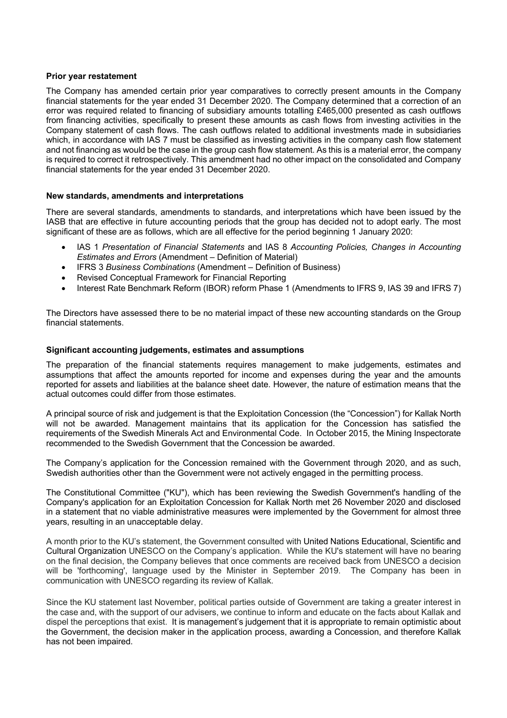### **Prior year restatement**

The Company has amended certain prior year comparatives to correctly present amounts in the Company financial statements for the year ended 31 December 2020. The Company determined that a correction of an error was required related to financing of subsidiary amounts totalling £465,000 presented as cash outflows from financing activities, specifically to present these amounts as cash flows from investing activities in the Company statement of cash flows. The cash outflows related to additional investments made in subsidiaries which, in accordance with IAS 7 must be classified as investing activities in the company cash flow statement and not financing as would be the case in the group cash flow statement. As this is a material error, the company is required to correct it retrospectively. This amendment had no other impact on the consolidated and Company financial statements for the year ended 31 December 2020.

# **New standards, amendments and interpretations**

There are several standards, amendments to standards, and interpretations which have been issued by the IASB that are effective in future accounting periods that the group has decided not to adopt early. The most significant of these are as follows, which are all effective for the period beginning 1 January 2020:

- IAS 1 *Presentation of Financial Statements* and IAS 8 *Accounting Policies, Changes in Accounting Estimates and Errors* (Amendment – Definition of Material)
- IFRS 3 *Business Combinations* (Amendment Definition of Business)
- Revised Conceptual Framework for Financial Reporting
- Interest Rate Benchmark Reform (IBOR) reform Phase 1 (Amendments to IFRS 9, IAS 39 and IFRS 7)

The Directors have assessed there to be no material impact of these new accounting standards on the Group financial statements.

# **Significant accounting judgements, estimates and assumptions**

The preparation of the financial statements requires management to make judgements, estimates and assumptions that affect the amounts reported for income and expenses during the year and the amounts reported for assets and liabilities at the balance sheet date. However, the nature of estimation means that the actual outcomes could differ from those estimates.

A principal source of risk and judgement is that the Exploitation Concession (the "Concession") for Kallak North will not be awarded. Management maintains that its application for the Concession has satisfied the requirements of the Swedish Minerals Act and Environmental Code. In October 2015, the Mining Inspectorate recommended to the Swedish Government that the Concession be awarded.

The Company's application for the Concession remained with the Government through 2020, and as such, Swedish authorities other than the Government were not actively engaged in the permitting process.

The Constitutional Committee ("KU"), which has been reviewing the Swedish Government's handling of the Company's application for an Exploitation Concession for Kallak North met 26 November 2020 and disclosed in a statement that no viable administrative measures were implemented by the Government for almost three years, resulting in an unacceptable delay.

A month prior to the KU's statement, the Government consulted with United Nations Educational, Scientific and Cultural Organization UNESCO on the Company's application. While the KU's statement will have no bearing on the final decision, the Company believes that once comments are received back from UNESCO a decision will be 'forthcoming', language used by the Minister in September 2019. The Company has been in communication with UNESCO regarding its review of Kallak.

Since the KU statement last November, political parties outside of Government are taking a greater interest in the case and, with the support of our advisers, we continue to inform and educate on the facts about Kallak and dispel the perceptions that exist. It is management's judgement that it is appropriate to remain optimistic about the Government, the decision maker in the application process, awarding a Concession, and therefore Kallak has not been impaired.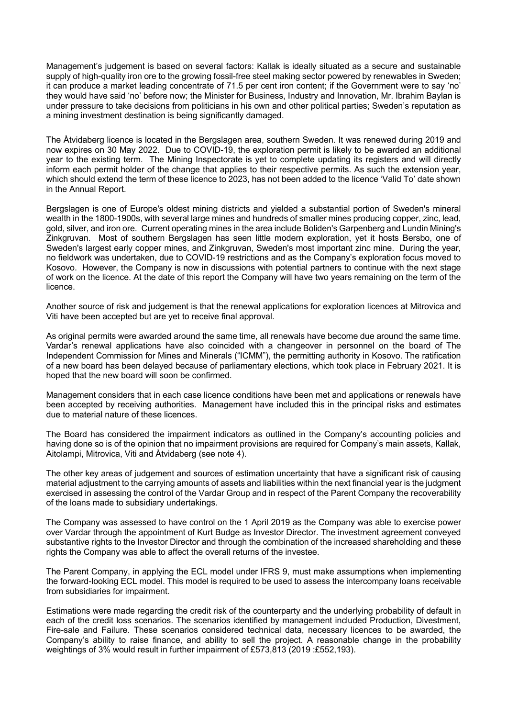Management's judgement is based on several factors: Kallak is ideally situated as a secure and sustainable supply of high-quality iron ore to the growing fossil-free steel making sector powered by renewables in Sweden; it can produce a market leading concentrate of 71.5 per cent iron content; if the Government were to say 'no' they would have said 'no' before now; the Minister for Business, Industry and Innovation, Mr. Ibrahim Baylan is under pressure to take decisions from politicians in his own and other political parties; Sweden's reputation as a mining investment destination is being significantly damaged.

The Åtvidaberg licence is located in the Bergslagen area, southern Sweden. It was renewed during 2019 and now expires on 30 May 2022. Due to COVID-19, the exploration permit is likely to be awarded an additional year to the existing term. The Mining Inspectorate is yet to complete updating its registers and will directly inform each permit holder of the change that applies to their respective permits. As such the extension year, which should extend the term of these licence to 2023, has not been added to the licence 'Valid To' date shown in the Annual Report.

Bergslagen is one of Europe's oldest mining districts and yielded a substantial portion of Sweden's mineral wealth in the 1800-1900s, with several large mines and hundreds of smaller mines producing copper, zinc, lead, gold, silver, and iron ore. Current operating mines in the area include Boliden's Garpenberg and Lundin Mining's Zinkgruvan. Most of southern Bergslagen has seen little modern exploration, yet it hosts Bersbo, one of Sweden's largest early copper mines, and Zinkgruvan, Sweden's most important zinc mine. During the year, no fieldwork was undertaken, due to COVID-19 restrictions and as the Company's exploration focus moved to Kosovo. However, the Company is now in discussions with potential partners to continue with the next stage of work on the licence. At the date of this report the Company will have two years remaining on the term of the licence.

Another source of risk and judgement is that the renewal applications for exploration licences at Mitrovica and Viti have been accepted but are yet to receive final approval.

As original permits were awarded around the same time, all renewals have become due around the same time. Vardar's renewal applications have also coincided with a changeover in personnel on the board of The Independent Commission for Mines and Minerals ("ICMM"), the permitting authority in Kosovo. The ratification of a new board has been delayed because of parliamentary elections, which took place in February 2021. It is hoped that the new board will soon be confirmed.

Management considers that in each case licence conditions have been met and applications or renewals have been accepted by receiving authorities. Management have included this in the principal risks and estimates due to material nature of these licences.

The Board has considered the impairment indicators as outlined in the Company's accounting policies and having done so is of the opinion that no impairment provisions are required for Company's main assets, Kallak, Aitolampi, Mitrovica, Viti and Åtvidaberg (see note 4).

The other key areas of judgement and sources of estimation uncertainty that have a significant risk of causing material adjustment to the carrying amounts of assets and liabilities within the next financial year is the judgment exercised in assessing the control of the Vardar Group and in respect of the Parent Company the recoverability of the loans made to subsidiary undertakings.

The Company was assessed to have control on the 1 April 2019 as the Company was able to exercise power over Vardar through the appointment of Kurt Budge as Investor Director. The investment agreement conveyed substantive rights to the Investor Director and through the combination of the increased shareholding and these rights the Company was able to affect the overall returns of the investee.

The Parent Company, in applying the ECL model under IFRS 9, must make assumptions when implementing the forward-looking ECL model. This model is required to be used to assess the intercompany loans receivable from subsidiaries for impairment.

Estimations were made regarding the credit risk of the counterparty and the underlying probability of default in each of the credit loss scenarios. The scenarios identified by management included Production, Divestment, Fire-sale and Failure. These scenarios considered technical data, necessary licences to be awarded, the Company's ability to raise finance, and ability to sell the project. A reasonable change in the probability weightings of 3% would result in further impairment of £573,813 (2019 :£552,193).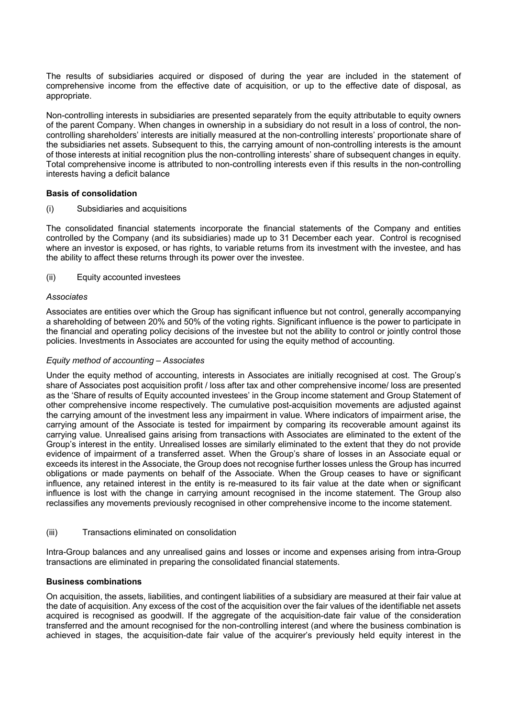The results of subsidiaries acquired or disposed of during the year are included in the statement of comprehensive income from the effective date of acquisition, or up to the effective date of disposal, as appropriate.

Non-controlling interests in subsidiaries are presented separately from the equity attributable to equity owners of the parent Company. When changes in ownership in a subsidiary do not result in a loss of control, the noncontrolling shareholders' interests are initially measured at the non-controlling interests' proportionate share of the subsidiaries net assets. Subsequent to this, the carrying amount of non-controlling interests is the amount of those interests at initial recognition plus the non-controlling interests' share of subsequent changes in equity. Total comprehensive income is attributed to non-controlling interests even if this results in the non-controlling interests having a deficit balance

# **Basis of consolidation**

(i) Subsidiaries and acquisitions

The consolidated financial statements incorporate the financial statements of the Company and entities controlled by the Company (and its subsidiaries) made up to 31 December each year. Control is recognised where an investor is exposed, or has rights, to variable returns from its investment with the investee, and has the ability to affect these returns through its power over the investee.

# (ii) Equity accounted investees

# *Associates*

Associates are entities over which the Group has significant influence but not control, generally accompanying a shareholding of between 20% and 50% of the voting rights. Significant influence is the power to participate in the financial and operating policy decisions of the investee but not the ability to control or jointly control those policies. Investments in Associates are accounted for using the equity method of accounting.

### *Equity method of accounting – Associates*

Under the equity method of accounting, interests in Associates are initially recognised at cost. The Group's share of Associates post acquisition profit / loss after tax and other comprehensive income/ loss are presented as the 'Share of results of Equity accounted investees' in the Group income statement and Group Statement of other comprehensive income respectively. The cumulative post-acquisition movements are adjusted against the carrying amount of the investment less any impairment in value. Where indicators of impairment arise, the carrying amount of the Associate is tested for impairment by comparing its recoverable amount against its carrying value. Unrealised gains arising from transactions with Associates are eliminated to the extent of the Group's interest in the entity. Unrealised losses are similarly eliminated to the extent that they do not provide evidence of impairment of a transferred asset. When the Group's share of losses in an Associate equal or exceeds its interest in the Associate, the Group does not recognise further losses unless the Group has incurred obligations or made payments on behalf of the Associate. When the Group ceases to have or significant influence, any retained interest in the entity is re-measured to its fair value at the date when or significant influence is lost with the change in carrying amount recognised in the income statement. The Group also reclassifies any movements previously recognised in other comprehensive income to the income statement.

### (iii) Transactions eliminated on consolidation

Intra-Group balances and any unrealised gains and losses or income and expenses arising from intra-Group transactions are eliminated in preparing the consolidated financial statements.

# **Business combinations**

On acquisition, the assets, liabilities, and contingent liabilities of a subsidiary are measured at their fair value at the date of acquisition. Any excess of the cost of the acquisition over the fair values of the identifiable net assets acquired is recognised as goodwill. If the aggregate of the acquisition-date fair value of the consideration transferred and the amount recognised for the non-controlling interest (and where the business combination is achieved in stages, the acquisition-date fair value of the acquirer's previously held equity interest in the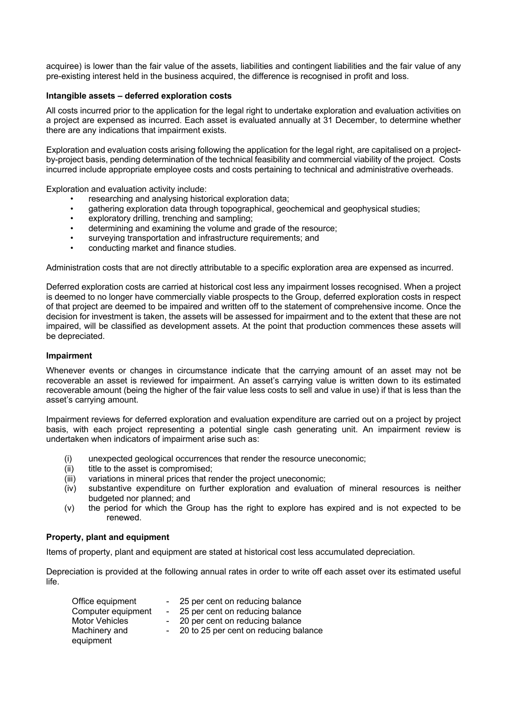acquiree) is lower than the fair value of the assets, liabilities and contingent liabilities and the fair value of any pre-existing interest held in the business acquired, the difference is recognised in profit and loss.

# **Intangible assets – deferred exploration costs**

All costs incurred prior to the application for the legal right to undertake exploration and evaluation activities on a project are expensed as incurred. Each asset is evaluated annually at 31 December, to determine whether there are any indications that impairment exists.

Exploration and evaluation costs arising following the application for the legal right, are capitalised on a projectby-project basis, pending determination of the technical feasibility and commercial viability of the project. Costs incurred include appropriate employee costs and costs pertaining to technical and administrative overheads.

Exploration and evaluation activity include:

- researching and analysing historical exploration data;
- gathering exploration data through topographical, geochemical and geophysical studies;
- exploratory drilling, trenching and sampling;
- determining and examining the volume and grade of the resource;
- surveying transportation and infrastructure requirements; and
- conducting market and finance studies.

Administration costs that are not directly attributable to a specific exploration area are expensed as incurred.

Deferred exploration costs are carried at historical cost less any impairment losses recognised. When a project is deemed to no longer have commercially viable prospects to the Group, deferred exploration costs in respect of that project are deemed to be impaired and written off to the statement of comprehensive income. Once the decision for investment is taken, the assets will be assessed for impairment and to the extent that these are not impaired, will be classified as development assets. At the point that production commences these assets will be depreciated.

### **Impairment**

Whenever events or changes in circumstance indicate that the carrying amount of an asset may not be recoverable an asset is reviewed for impairment. An asset's carrying value is written down to its estimated recoverable amount (being the higher of the fair value less costs to sell and value in use) if that is less than the asset's carrying amount.

Impairment reviews for deferred exploration and evaluation expenditure are carried out on a project by project basis, with each project representing a potential single cash generating unit. An impairment review is undertaken when indicators of impairment arise such as:

- (i) unexpected geological occurrences that render the resource uneconomic;
- (ii) title to the asset is compromised;
- (iii) variations in mineral prices that render the project uneconomic;
- (iv) substantive expenditure on further exploration and evaluation of mineral resources is neither budgeted nor planned; and
- (v) the period for which the Group has the right to explore has expired and is not expected to be renewed.

### **Property, plant and equipment**

Items of property, plant and equipment are stated at historical cost less accumulated depreciation.

Depreciation is provided at the following annual rates in order to write off each asset over its estimated useful life.

| Office equipment      | - 25 per cent on reducing balance       |
|-----------------------|-----------------------------------------|
| Computer equipment    | - 25 per cent on reducing balance       |
| <b>Motor Vehicles</b> | - 20 per cent on reducing balance       |
| Machinery and         | - 20 to 25 per cent on reducing balance |
| equipment             |                                         |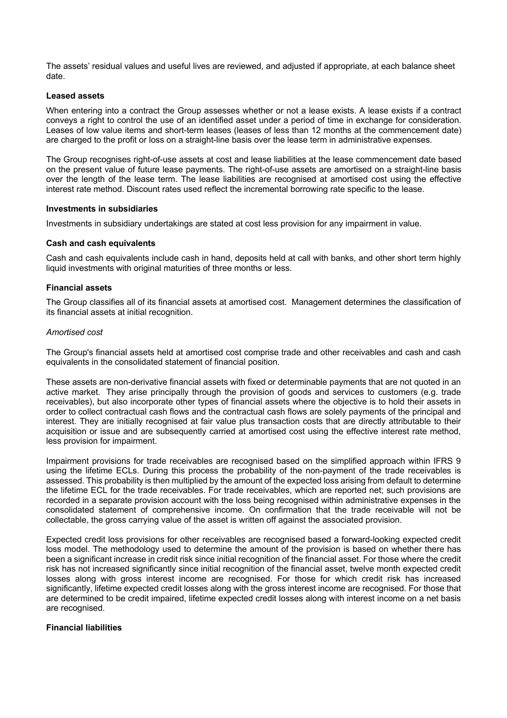The assets' residual values and useful lives are reviewed, and adjusted if appropriate, at each balance sheet date.

### **Leased assets**

When entering into a contract the Group assesses whether or not a lease exists. A lease exists if a contract conveys a right to control the use of an identified asset under a period of time in exchange for consideration. Leases of low value items and short-term leases (leases of less than 12 months at the commencement date) are charged to the profit or loss on a straight-line basis over the lease term in administrative expenses.

The Group recognises right-of-use assets at cost and lease liabilities at the lease commencement date based on the present value of future lease payments. The right-of-use assets are amortised on a straight-line basis over the length of the lease term. The lease liabilities are recognised at amortised cost using the effective interest rate method. Discount rates used reflect the incremental borrowing rate specific to the lease.

### **Investments in subsidiaries**

Investments in subsidiary undertakings are stated at cost less provision for any impairment in value.

# **Cash and cash equivalents**

Cash and cash equivalents include cash in hand, deposits held at call with banks, and other short term highly liquid investments with original maturities of three months or less.

# **Financial assets**

The Group classifies all of its financial assets at amortised cost. Management determines the classification of its financial assets at initial recognition.

# *Amortised cost*

The Group's financial assets held at amortised cost comprise trade and other receivables and cash and cash equivalents in the consolidated statement of financial position.

These assets are non-derivative financial assets with fixed or determinable payments that are not quoted in an active market. They arise principally through the provision of goods and services to customers (e.g. trade receivables), but also incorporate other types of financial assets where the objective is to hold their assets in order to collect contractual cash flows and the contractual cash flows are solely payments of the principal and interest. They are initially recognised at fair value plus transaction costs that are directly attributable to their acquisition or issue and are subsequently carried at amortised cost using the effective interest rate method, less provision for impairment.

Impairment provisions for trade receivables are recognised based on the simplified approach within IFRS 9 using the lifetime ECLs. During this process the probability of the non-payment of the trade receivables is assessed. This probability is then multiplied by the amount of the expected loss arising from default to determine the lifetime ECL for the trade receivables. For trade receivables, which are reported net; such provisions are recorded in a separate provision account with the loss being recognised within administrative expenses in the consolidated statement of comprehensive income. On confirmation that the trade receivable will not be collectable, the gross carrying value of the asset is written off against the associated provision.

Expected credit loss provisions for other receivables are recognised based a forward-looking expected credit loss model. The methodology used to determine the amount of the provision is based on whether there has been a significant increase in credit risk since initial recognition of the financial asset. For those where the credit risk has not increased significantly since initial recognition of the financial asset, twelve month expected credit losses along with gross interest income are recognised. For those for which credit risk has increased significantly, lifetime expected credit losses along with the gross interest income are recognised. For those that are determined to be credit impaired, lifetime expected credit losses along with interest income on a net basis are recognised.

### **Financial liabilities**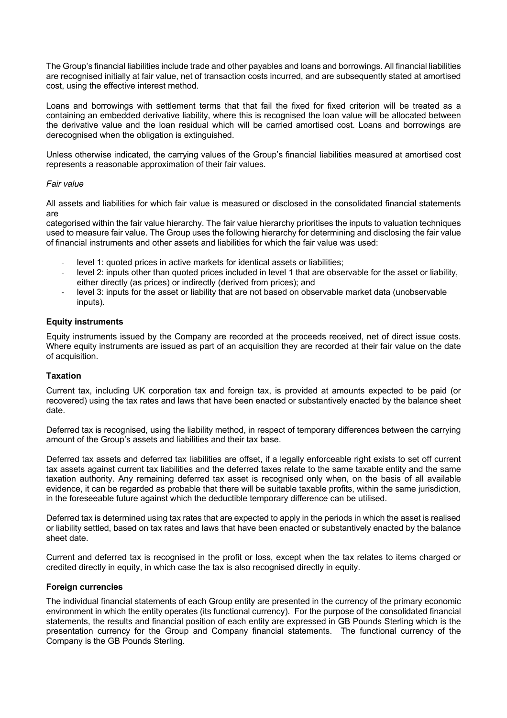The Group's financial liabilities include trade and other payables and loans and borrowings. All financial liabilities are recognised initially at fair value, net of transaction costs incurred, and are subsequently stated at amortised cost, using the effective interest method.

Loans and borrowings with settlement terms that that fail the fixed for fixed criterion will be treated as a containing an embedded derivative liability, where this is recognised the loan value will be allocated between the derivative value and the loan residual which will be carried amortised cost. Loans and borrowings are derecognised when the obligation is extinguished.

Unless otherwise indicated, the carrying values of the Group's financial liabilities measured at amortised cost represents a reasonable approximation of their fair values.

# *Fair value*

All assets and liabilities for which fair value is measured or disclosed in the consolidated financial statements are

categorised within the fair value hierarchy. The fair value hierarchy prioritises the inputs to valuation techniques used to measure fair value. The Group uses the following hierarchy for determining and disclosing the fair value of financial instruments and other assets and liabilities for which the fair value was used:

- level 1: quoted prices in active markets for identical assets or liabilities;
- level 2: inputs other than quoted prices included in level 1 that are observable for the asset or liability, either directly (as prices) or indirectly (derived from prices); and
- level 3: inputs for the asset or liability that are not based on observable market data (unobservable inputs).

# **Equity instruments**

Equity instruments issued by the Company are recorded at the proceeds received, net of direct issue costs. Where equity instruments are issued as part of an acquisition they are recorded at their fair value on the date of acquisition.

# **Taxation**

Current tax, including UK corporation tax and foreign tax, is provided at amounts expected to be paid (or recovered) using the tax rates and laws that have been enacted or substantively enacted by the balance sheet date.

Deferred tax is recognised, using the liability method, in respect of temporary differences between the carrying amount of the Group's assets and liabilities and their tax base.

Deferred tax assets and deferred tax liabilities are offset, if a legally enforceable right exists to set off current tax assets against current tax liabilities and the deferred taxes relate to the same taxable entity and the same taxation authority. Any remaining deferred tax asset is recognised only when, on the basis of all available evidence, it can be regarded as probable that there will be suitable taxable profits, within the same jurisdiction, in the foreseeable future against which the deductible temporary difference can be utilised.

Deferred tax is determined using tax rates that are expected to apply in the periods in which the asset is realised or liability settled, based on tax rates and laws that have been enacted or substantively enacted by the balance sheet date.

Current and deferred tax is recognised in the profit or loss, except when the tax relates to items charged or credited directly in equity, in which case the tax is also recognised directly in equity.

# **Foreign currencies**

The individual financial statements of each Group entity are presented in the currency of the primary economic environment in which the entity operates (its functional currency). For the purpose of the consolidated financial statements, the results and financial position of each entity are expressed in GB Pounds Sterling which is the presentation currency for the Group and Company financial statements. The functional currency of the Company is the GB Pounds Sterling.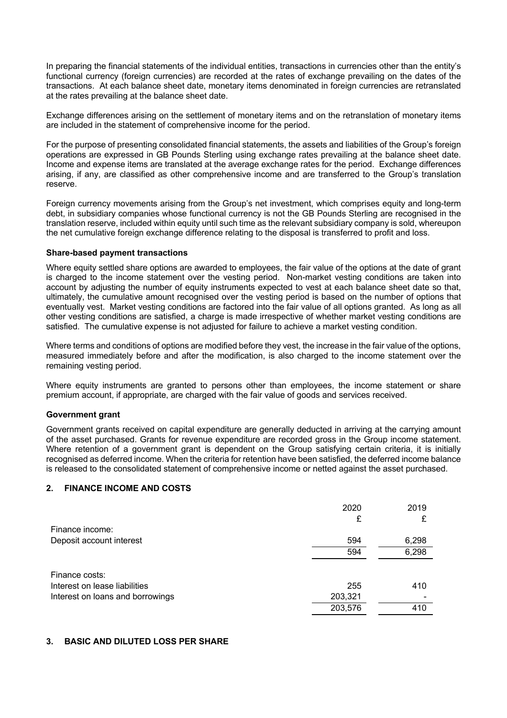In preparing the financial statements of the individual entities, transactions in currencies other than the entity's functional currency (foreign currencies) are recorded at the rates of exchange prevailing on the dates of the transactions. At each balance sheet date, monetary items denominated in foreign currencies are retranslated at the rates prevailing at the balance sheet date.

Exchange differences arising on the settlement of monetary items and on the retranslation of monetary items are included in the statement of comprehensive income for the period.

For the purpose of presenting consolidated financial statements, the assets and liabilities of the Group's foreign operations are expressed in GB Pounds Sterling using exchange rates prevailing at the balance sheet date. Income and expense items are translated at the average exchange rates for the period. Exchange differences arising, if any, are classified as other comprehensive income and are transferred to the Group's translation reserve.

Foreign currency movements arising from the Group's net investment, which comprises equity and long-term debt, in subsidiary companies whose functional currency is not the GB Pounds Sterling are recognised in the translation reserve, included within equity until such time as the relevant subsidiary company is sold, whereupon the net cumulative foreign exchange difference relating to the disposal is transferred to profit and loss.

# **Share-based payment transactions**

Where equity settled share options are awarded to employees, the fair value of the options at the date of grant is charged to the income statement over the vesting period. Non-market vesting conditions are taken into account by adjusting the number of equity instruments expected to vest at each balance sheet date so that, ultimately, the cumulative amount recognised over the vesting period is based on the number of options that eventually vest. Market vesting conditions are factored into the fair value of all options granted. As long as all other vesting conditions are satisfied, a charge is made irrespective of whether market vesting conditions are satisfied. The cumulative expense is not adjusted for failure to achieve a market vesting condition.

Where terms and conditions of options are modified before they vest, the increase in the fair value of the options, measured immediately before and after the modification, is also charged to the income statement over the remaining vesting period.

Where equity instruments are granted to persons other than employees, the income statement or share premium account, if appropriate, are charged with the fair value of goods and services received.

# **Government grant**

Government grants received on capital expenditure are generally deducted in arriving at the carrying amount of the asset purchased. Grants for revenue expenditure are recorded gross in the Group income statement. Where retention of a government grant is dependent on the Group satisfying certain criteria, it is initially recognised as deferred income. When the criteria for retention have been satisfied, the deferred income balance is released to the consolidated statement of comprehensive income or netted against the asset purchased.

# **2. FINANCE INCOME AND COSTS**

|                                  | 2020<br>£ | 2019  |
|----------------------------------|-----------|-------|
| Finance income:                  |           |       |
| Deposit account interest         | 594       | 6,298 |
|                                  | 594       | 6,298 |
|                                  |           |       |
| Finance costs:                   |           |       |
| Interest on lease liabilities    | 255       | 410   |
| Interest on loans and borrowings | 203,321   |       |
|                                  | 203,576   | 410   |

# **3. BASIC AND DILUTED LOSS PER SHARE**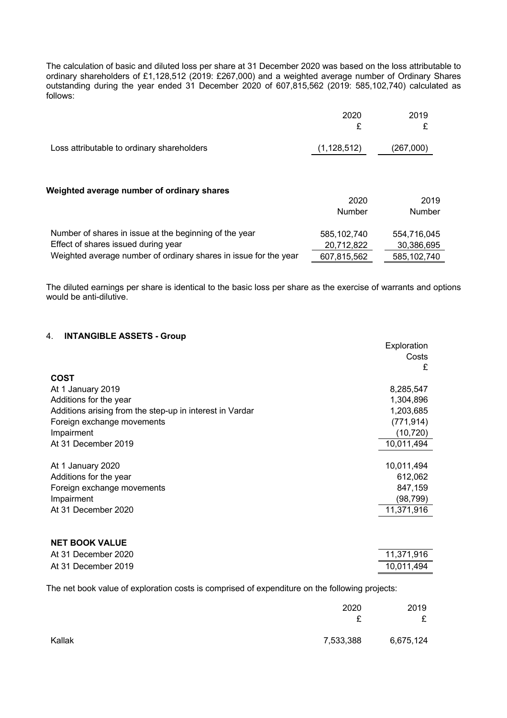The calculation of basic and diluted loss per share at 31 December 2020 was based on the loss attributable to ordinary shareholders of £1,128,512 (2019: £267,000) and a weighted average number of Ordinary Shares outstanding during the year ended 31 December 2020 of 607,815,562 (2019: 585,102,740) calculated as follows:

|                                            | 2020          | 2019      |
|--------------------------------------------|---------------|-----------|
|                                            |               |           |
| Loss attributable to ordinary shareholders | (1, 128, 512) | (267,000) |

#### **Weighted average number of ordinary shares**

|                                                                  | 2020        | 2019          |
|------------------------------------------------------------------|-------------|---------------|
|                                                                  | Number      | <b>Number</b> |
| Number of shares in issue at the beginning of the year           | 585,102,740 | 554,716,045   |
| Effect of shares issued during year                              | 20,712,822  | 30,386,695    |
| Weighted average number of ordinary shares in issue for the year | 607,815,562 | 585,102,740   |

The diluted earnings per share is identical to the basic loss per share as the exercise of warrants and options would be anti-dilutive.

# 4. **INTANGIBLE ASSETS - Group**

|                                                          | Exploration<br>Costs<br>£ |
|----------------------------------------------------------|---------------------------|
| <b>COST</b>                                              |                           |
| At 1 January 2019                                        | 8,285,547                 |
| Additions for the year                                   | 1,304,896                 |
| Additions arising from the step-up in interest in Vardar | 1,203,685                 |
| Foreign exchange movements                               | (771, 914)                |
| Impairment                                               | (10, 720)                 |
| At 31 December 2019                                      | 10,011,494                |
|                                                          |                           |
| At 1 January 2020                                        | 10,011,494                |
| Additions for the year                                   | 612,062                   |
| Foreign exchange movements                               | 847,159                   |
| Impairment                                               | (98, 799)                 |
| At 31 December 2020                                      | 11,371,916                |
|                                                          |                           |

| <b>NET BOOK VALUE</b> |            |
|-----------------------|------------|
| At 31 December 2020   | 11.371.916 |
| At 31 December 2019   | 10.011.494 |

The net book value of exploration costs is comprised of expenditure on the following projects:

|        | 2020<br>~ | 2019<br>£ |
|--------|-----------|-----------|
| Kallak | 7,533,388 | 6,675,124 |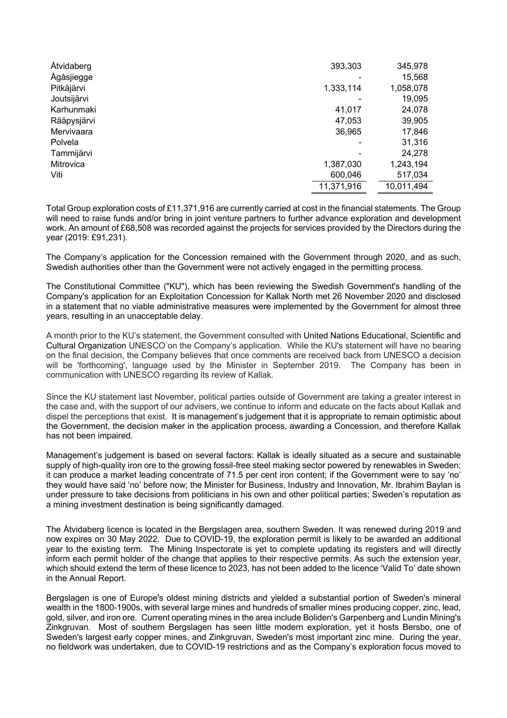| Åtvidaberg  | 393,303    | 345,978    |
|-------------|------------|------------|
| Ågåsjiegge  |            | 15,568     |
| Pitkäjärvi  | 1,333,114  | 1,058,078  |
| Joutsijärvi |            | 19,095     |
| Karhunmaki  | 41,017     | 24,078     |
| Rääpysjärvi | 47,053     | 39,905     |
| Mervivaara  | 36,965     | 17,846     |
| Polvela     |            | 31,316     |
| Tammijärvi  |            | 24,278     |
| Mitrovica   | 1,387,030  | 1,243,194  |
| Viti        | 600,046    | 517,034    |
|             | 11,371,916 | 10,011,494 |

Total Group exploration costs of £11,371,916 are currently carried at cost in the financial statements. The Group will need to raise funds and/or bring in joint venture partners to further advance exploration and development work. An amount of £68,508 was recorded against the projects for services provided by the Directors during the year (2019: £91,231).

The Company's application for the Concession remained with the Government through 2020, and as such, Swedish authorities other than the Government were not actively engaged in the permitting process.

The Constitutional Committee ("KU"), which has been reviewing the Swedish Government's handling of the Company's application for an Exploitation Concession for Kallak North met 26 November 2020 and disclosed in a statement that no viable administrative measures were implemented by the Government for almost three years, resulting in an unacceptable delay.

A month prior to the KU's statement, the Government consulted with United Nations Educational, Scientific and Cultural Organization UNESCO on the Company's application. While the KU's statement will have no bearing on the final decision, the Company believes that once comments are received back from UNESCO a decision will be 'forthcoming', language used by the Minister in September 2019. The Company has been in communication with UNESCO regarding its review of Kallak.

Since the KU statement last November, political parties outside of Government are taking a greater interest in the case and, with the support of our advisers, we continue to inform and educate on the facts about Kallak and dispel the perceptions that exist. It is management's judgement that it is appropriate to remain optimistic about the Government, the decision maker in the application process, awarding a Concession, and therefore Kallak has not been impaired.

Management's judgement is based on several factors: Kallak is ideally situated as a secure and sustainable supply of high-quality iron ore to the growing fossil-free steel making sector powered by renewables in Sweden; it can produce a market leading concentrate of 71.5 per cent iron content; if the Government were to say 'no' they would have said 'no' before now; the Minister for Business, Industry and Innovation, Mr. Ibrahim Baylan is under pressure to take decisions from politicians in his own and other political parties; Sweden's reputation as a mining investment destination is being significantly damaged.

The Åtvidaberg licence is located in the Bergslagen area, southern Sweden. It was renewed during 2019 and now expires on 30 May 2022. Due to COVID-19, the exploration permit is likely to be awarded an additional year to the existing term. The Mining Inspectorate is yet to complete updating its registers and will directly inform each permit holder of the change that applies to their respective permits. As such the extension year, which should extend the term of these licence to 2023, has not been added to the licence 'Valid To' date shown in the Annual Report.

Bergslagen is one of Europe's oldest mining districts and yielded a substantial portion of Sweden's mineral wealth in the 1800-1900s, with several large mines and hundreds of smaller mines producing copper, zinc, lead, gold, silver, and iron ore. Current operating mines in the area include Boliden's Garpenberg and Lundin Mining's Zinkgruvan. Most of southern Bergslagen has seen little modern exploration, yet it hosts Bersbo, one of Sweden's largest early copper mines, and Zinkgruvan, Sweden's most important zinc mine. During the year, no fieldwork was undertaken, due to COVID-19 restrictions and as the Company's exploration focus moved to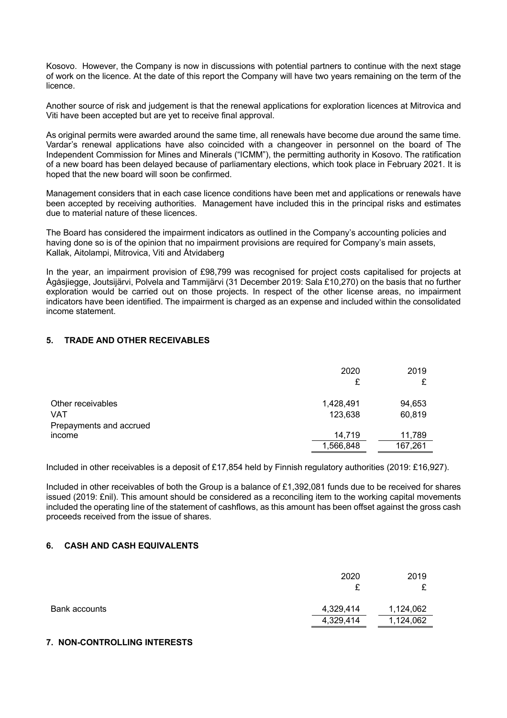Kosovo. However, the Company is now in discussions with potential partners to continue with the next stage of work on the licence. At the date of this report the Company will have two years remaining on the term of the licence.

Another source of risk and judgement is that the renewal applications for exploration licences at Mitrovica and Viti have been accepted but are yet to receive final approval.

As original permits were awarded around the same time, all renewals have become due around the same time. Vardar's renewal applications have also coincided with a changeover in personnel on the board of The Independent Commission for Mines and Minerals ("ICMM"), the permitting authority in Kosovo. The ratification of a new board has been delayed because of parliamentary elections, which took place in February 2021. It is hoped that the new board will soon be confirmed.

Management considers that in each case licence conditions have been met and applications or renewals have been accepted by receiving authorities. Management have included this in the principal risks and estimates due to material nature of these licences.

The Board has considered the impairment indicators as outlined in the Company's accounting policies and having done so is of the opinion that no impairment provisions are required for Company's main assets, Kallak, Aitolampi, Mitrovica, Viti and Åtvidaberg

In the year, an impairment provision of £98,799 was recognised for project costs capitalised for projects at Ågåsjiegge, Joutsijärvi, Polvela and Tammijärvi (31 December 2019: Sala £10,270) on the basis that no further exploration would be carried out on those projects. In respect of the other license areas, no impairment indicators have been identified. The impairment is charged as an expense and included within the consolidated income statement.

# **5. TRADE AND OTHER RECEIVABLES**

|                         | 2020<br>£ | 2019    |
|-------------------------|-----------|---------|
| Other receivables       | 1,428,491 | 94,653  |
| <b>VAT</b>              | 123,638   | 60,819  |
| Prepayments and accrued | 14,719    | 11,789  |
| income                  | 1,566,848 | 167,261 |

Included in other receivables is a deposit of £17,854 held by Finnish regulatory authorities (2019: £16,927).

Included in other receivables of both the Group is a balance of £1,392,081 funds due to be received for shares issued (2019: £nil). This amount should be considered as a reconciling item to the working capital movements included the operating line of the statement of cashflows, as this amount has been offset against the gross cash proceeds received from the issue of shares.

# **6. CASH AND CASH EQUIVALENTS**

|               | 2020<br>£ | 2019<br>ᡗ |
|---------------|-----------|-----------|
| Bank accounts | 4,329,414 | 1,124,062 |
|               | 4,329,414 | 1,124,062 |

# **7. NON-CONTROLLING INTERESTS**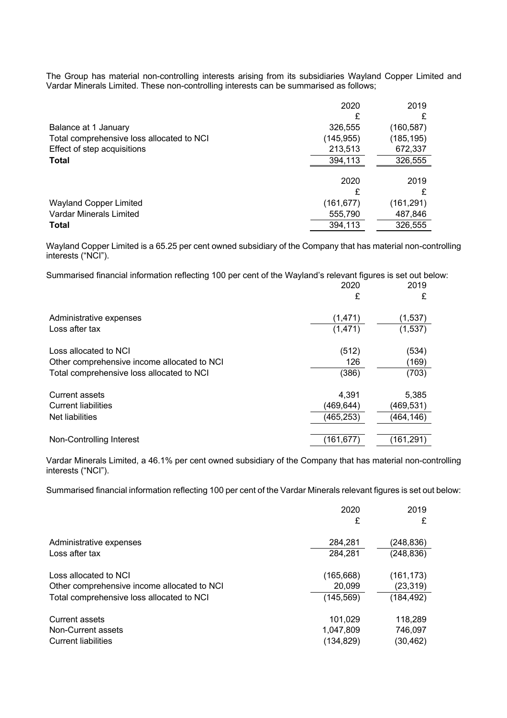The Group has material non-controlling interests arising from its subsidiaries Wayland Copper Limited and Vardar Minerals Limited. These non-controlling interests can be summarised as follows;

|                                           | 2020       | 2019       |
|-------------------------------------------|------------|------------|
|                                           | £          |            |
| Balance at 1 January                      | 326,555    | (160,587)  |
| Total comprehensive loss allocated to NCI | (145, 955) | (185, 195) |
| Effect of step acquisitions               | 213,513    | 672,337    |
| <b>Total</b>                              | 394,113    | 326,555    |
|                                           |            |            |
|                                           | 2020       | 2019       |
|                                           | £          |            |
| <b>Wayland Copper Limited</b>             | (161,677)  | (161,291)  |
| Vardar Minerals Limited                   | 555,790    | 487,846    |
| <b>Total</b>                              | 394,113    | 326,555    |

Wayland Copper Limited is a 65.25 per cent owned subsidiary of the Company that has material non-controlling interests ("NCI").

Summarised financial information reflecting 100 per cent of the Wayland's relevant figures is set out below:

|                                             | 2020<br>£  | 2019<br>£ |
|---------------------------------------------|------------|-----------|
| Administrative expenses                     | (1,471)    | (1,537)   |
| Loss after tax                              | (1,471)    | (1,537)   |
| Loss allocated to NCI                       | (512)      | (534)     |
| Other comprehensive income allocated to NCI | 126        | (169)     |
| Total comprehensive loss allocated to NCI   | (386)      | (703)     |
| <b>Current assets</b>                       | 4,391      | 5,385     |
| <b>Current liabilities</b>                  | (469, 644) | (469,531) |
| Net liabilities                             | (465, 253) | (464,146) |
| Non-Controlling Interest                    | (161,677)  | (161,291) |

Vardar Minerals Limited, a 46.1% per cent owned subsidiary of the Company that has material non-controlling interests ("NCI").

Summarised financial information reflecting 100 per cent of the Vardar Minerals relevant figures is set out below:

|                                             | 2020       | 2019       |
|---------------------------------------------|------------|------------|
|                                             | £          | £          |
| Administrative expenses                     | 284,281    | (248, 836) |
| Loss after tax                              | 284,281    | (248, 836) |
| Loss allocated to NCI                       | (165, 668) | (161, 173) |
| Other comprehensive income allocated to NCI | 20,099     | (23, 319)  |
| Total comprehensive loss allocated to NCI   | (145, 569) | (184, 492) |
| <b>Current assets</b>                       | 101,029    | 118,289    |
| Non-Current assets                          | 1,047,809  | 746,097    |
| <b>Current liabilities</b>                  | (134, 829) | (30,462)   |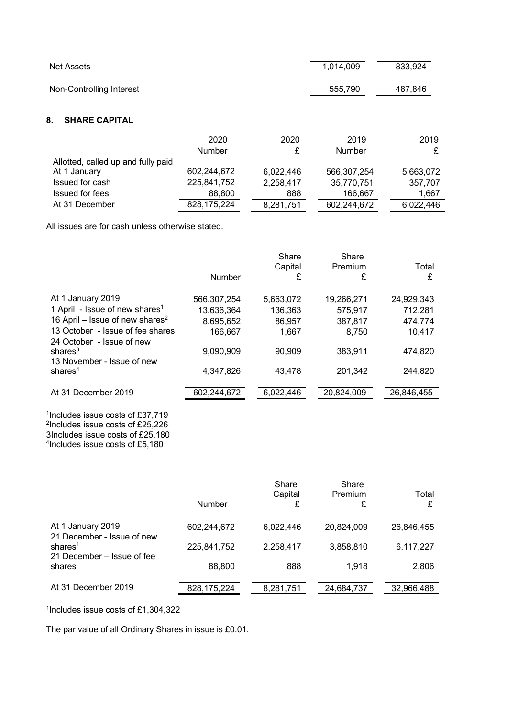| Net Assets               | 1,014,009 | 833,924 |
|--------------------------|-----------|---------|
| Non-Controlling Interest | 555.790   | 487.846 |

# **8. SHARE CAPITAL**

|                                    | 2020          | 2020      | 2019        | 2019      |
|------------------------------------|---------------|-----------|-------------|-----------|
|                                    | <b>Number</b> |           | Number      |           |
| Allotted, called up and fully paid |               |           |             |           |
| At 1 January                       | 602,244,672   | 6,022,446 | 566,307,254 | 5,663,072 |
| Issued for cash                    | 225,841,752   | 2,258,417 | 35,770,751  | 357,707   |
| <b>Issued for fees</b>             | 88,800        | 888       | 166.667     | 1,667     |
| At 31 December                     | 828, 175, 224 | 8,281,751 | 602,244,672 | 6,022,446 |

All issues are for cash unless otherwise stated.

|                                                                                              | Number      | Share<br>Capital<br>£ | Share<br>Premium<br>£ | Total<br>£ |
|----------------------------------------------------------------------------------------------|-------------|-----------------------|-----------------------|------------|
|                                                                                              |             |                       |                       |            |
| At 1 January 2019                                                                            | 566,307,254 | 5,663,072             | 19,266,271            | 24,929,343 |
| 1 April - Issue of new shares <sup>1</sup>                                                   | 13,636,364  | 136,363               | 575,917               | 712,281    |
| 16 April – Issue of new shares <sup>2</sup>                                                  | 8,695,652   | 86,957                | 387,817               | 474,774    |
| 13 October - Issue of fee shares                                                             | 166,667     | 1,667                 | 8,750                 | 10,417     |
| 24 October - Issue of new                                                                    |             |                       |                       |            |
| shares $3$                                                                                   | 9,090,909   | 90,909                | 383,911               | 474,820    |
| 13 November - Issue of new                                                                   |             |                       |                       |            |
| shares <sup>4</sup>                                                                          | 4,347,826   | 43,478                | 201,342               | 244,820    |
|                                                                                              |             |                       |                       |            |
| At 31 December 2019                                                                          | 602,244,672 | 6,022,446             | 20,824,009            | 26,846,455 |
| <sup>1</sup> Includes issue costs of £37,719<br><sup>2</sup> Includes issue costs of £25,226 |             |                       |                       |            |
| 3Includes issue costs of £25,180                                                             |             |                       |                       |            |

4Includes issue costs of £5,180

|                                          | Number        | Share<br>Capital<br>£ | Share<br>Premium<br>£ | Total<br>£ |
|------------------------------------------|---------------|-----------------------|-----------------------|------------|
| At 1 January 2019                        | 602,244,672   | 6,022,446             | 20,824,009            | 26,846,455 |
| 21 December - Issue of new<br>shares $1$ | 225,841,752   | 2,258,417             | 3,858,810             | 6,117,227  |
| 21 December – Issue of fee<br>shares     | 88,800        | 888                   | 1.918                 | 2,806      |
| At 31 December 2019                      | 828, 175, 224 | 8,281,751             | 24,684,737            | 32,966,488 |

1Includes issue costs of £1,304,322

The par value of all Ordinary Shares in issue is £0.01.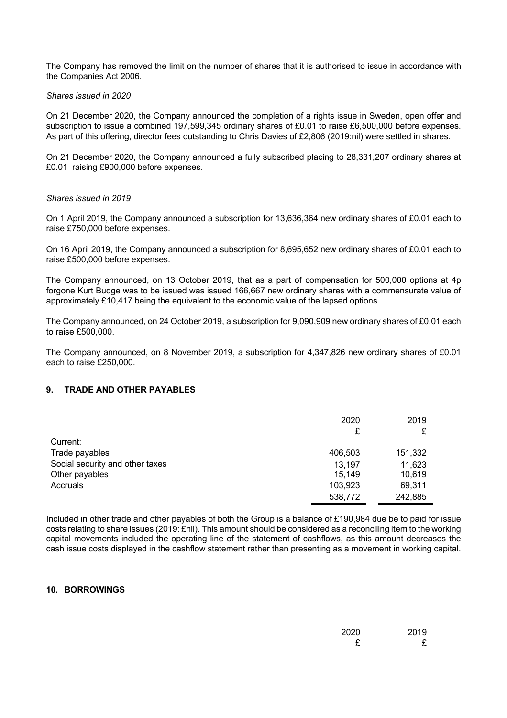The Company has removed the limit on the number of shares that it is authorised to issue in accordance with the Companies Act 2006.

#### *Shares issued in 2020*

On 21 December 2020, the Company announced the completion of a rights issue in Sweden, open offer and subscription to issue a combined 197,599,345 ordinary shares of £0.01 to raise £6,500,000 before expenses. As part of this offering, director fees outstanding to Chris Davies of £2,806 (2019:nil) were settled in shares.

On 21 December 2020, the Company announced a fully subscribed placing to 28,331,207 ordinary shares at £0.01 raising £900,000 before expenses.

#### *Shares issued in 2019*

On 1 April 2019, the Company announced a subscription for 13,636,364 new ordinary shares of £0.01 each to raise £750,000 before expenses.

On 16 April 2019, the Company announced a subscription for 8,695,652 new ordinary shares of £0.01 each to raise £500,000 before expenses.

The Company announced, on 13 October 2019, that as a part of compensation for 500,000 options at 4p forgone Kurt Budge was to be issued was issued 166,667 new ordinary shares with a commensurate value of approximately £10,417 being the equivalent to the economic value of the lapsed options.

The Company announced, on 24 October 2019, a subscription for 9,090,909 new ordinary shares of £0.01 each to raise £500,000.

The Company announced, on 8 November 2019, a subscription for 4,347,826 new ordinary shares of £0.01 each to raise £250,000.

### **9. TRADE AND OTHER PAYABLES**

|                                 | 2020    | 2019    |
|---------------------------------|---------|---------|
|                                 | £       |         |
| Current:                        |         |         |
| Trade payables                  | 406,503 | 151,332 |
| Social security and other taxes | 13,197  | 11,623  |
| Other payables                  | 15,149  | 10,619  |
| Accruals                        | 103,923 | 69,311  |
|                                 | 538,772 | 242,885 |

Included in other trade and other payables of both the Group is a balance of £190,984 due be to paid for issue costs relating to share issues (2019: £nil). This amount should be considered as a reconciling item to the working capital movements included the operating line of the statement of cashflows, as this amount decreases the cash issue costs displayed in the cashflow statement rather than presenting as a movement in working capital.

# **10. BORROWINGS**

| 2020 | 2019 |
|------|------|
|      |      |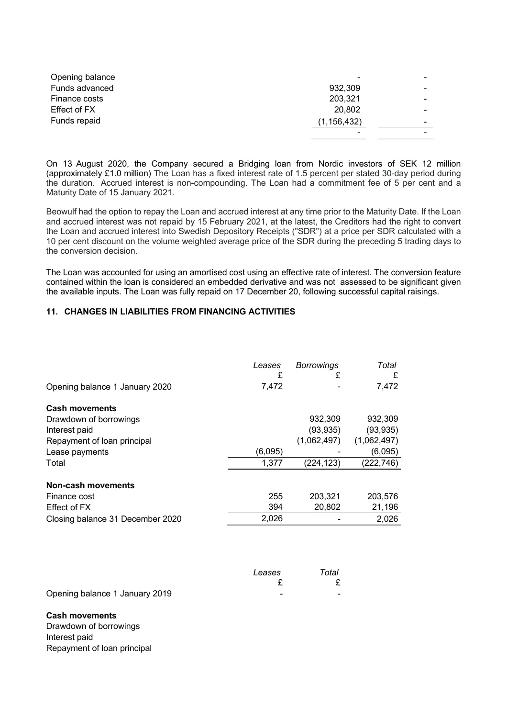| Opening balance     | $\,$          |                          |
|---------------------|---------------|--------------------------|
| Funds advanced      | 932,309       |                          |
| Finance costs       | 203,321       |                          |
| <b>Effect of FX</b> | 20,802        |                          |
| Funds repaid        | (1, 156, 432) | $\overline{\phantom{0}}$ |
|                     |               |                          |

On 13 August 2020, the Company secured a Bridging loan from Nordic investors of SEK 12 million (approximately £1.0 million) The Loan has a fixed interest rate of 1.5 percent per stated 30-day period during the duration. Accrued interest is non-compounding. The Loan had a commitment fee of 5 per cent and a Maturity Date of 15 January 2021.

Beowulf had the option to repay the Loan and accrued interest at any time prior to the Maturity Date. If the Loan and accrued interest was not repaid by 15 February 2021, at the latest, the Creditors had the right to convert the Loan and accrued interest into Swedish Depository Receipts ("SDR") at a price per SDR calculated with a 10 per cent discount on the volume weighted average price of the SDR during the preceding 5 trading days to the conversion decision.

The Loan was accounted for using an amortised cost using an effective rate of interest. The conversion feature contained within the loan is considered an embedded derivative and was not assessed to be significant given the available inputs. The Loan was fully repaid on 17 December 20, following successful capital raisings.

# **11. CHANGES IN LIABILITIES FROM FINANCING ACTIVITIES**

|                                  | Leases<br>£ | <b>Borrowings</b><br>£ | Total<br>£  |
|----------------------------------|-------------|------------------------|-------------|
| Opening balance 1 January 2020   | 7,472       |                        | 7,472       |
| <b>Cash movements</b>            |             |                        |             |
| Drawdown of borrowings           |             | 932,309                | 932,309     |
| Interest paid                    |             | (93, 935)              | (93,935)    |
| Repayment of loan principal      |             | (1,062,497)            | (1,062,497) |
| Lease payments                   | (6,095)     |                        | (6,095)     |
| Total                            | 1,377       | (224, 123)             | (222,746)   |
| Non-cash movements               |             |                        |             |
| Finance cost                     | 255         | 203.321                | 203,576     |
| Effect of FX                     | 394         | 20,802                 | 21,196      |
| Closing balance 31 December 2020 | 2,026       |                        | 2,026       |

|                                | Leases | Total |
|--------------------------------|--------|-------|
|                                |        |       |
| Opening balance 1 January 2019 | -      |       |

#### **Cash movements**

Drawdown of borrowings Interest paid Repayment of loan principal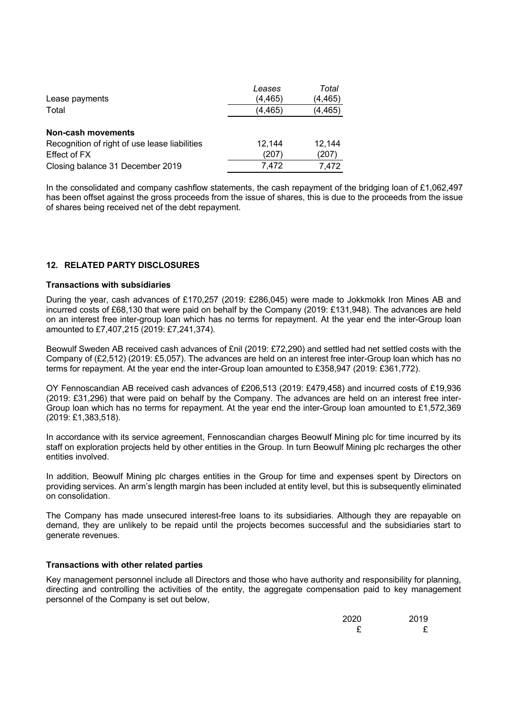|                                               | Leases  | Total    |
|-----------------------------------------------|---------|----------|
| Lease payments                                | (4,465) | (4,465)  |
| Total                                         | (4,465) | (4, 465) |
|                                               |         |          |
| Non-cash movements                            |         |          |
| Recognition of right of use lease liabilities | 12.144  | 12,144   |
| Effect of FX                                  | (207)   | (207)    |
| Closing balance 31 December 2019              | 7,472   | 7.472    |

In the consolidated and company cashflow statements, the cash repayment of the bridging loan of £1,062,497 has been offset against the gross proceeds from the issue of shares, this is due to the proceeds from the issue of shares being received net of the debt repayment.

# **12. RELATED PARTY DISCLOSURES**

# **Transactions with subsidiaries**

During the year, cash advances of £170,257 (2019: £286,045) were made to Jokkmokk Iron Mines AB and incurred costs of £68,130 that were paid on behalf by the Company (2019: £131,948). The advances are held on an interest free inter-group loan which has no terms for repayment. At the year end the inter-Group loan amounted to £7,407,215 (2019: £7,241,374).

Beowulf Sweden AB received cash advances of £nil (2019: £72,290) and settled had net settled costs with the Company of (£2,512) (2019: £5,057). The advances are held on an interest free inter-Group loan which has no terms for repayment. At the year end the inter-Group loan amounted to £358,947 (2019: £361,772).

OY Fennoscandian AB received cash advances of £206,513 (2019: £479,458) and incurred costs of £19,936 (2019: £31,296) that were paid on behalf by the Company. The advances are held on an interest free inter-Group loan which has no terms for repayment. At the year end the inter-Group loan amounted to £1,572,369 (2019: £1,383,518).

In accordance with its service agreement, Fennoscandian charges Beowulf Mining plc for time incurred by its staff on exploration projects held by other entities in the Group. In turn Beowulf Mining plc recharges the other entities involved.

In addition, Beowulf Mining plc charges entities in the Group for time and expenses spent by Directors on providing services. An arm's length margin has been included at entity level, but this is subsequently eliminated on consolidation.

The Company has made unsecured interest-free loans to its subsidiaries. Although they are repayable on demand, they are unlikely to be repaid until the projects becomes successful and the subsidiaries start to generate revenues.

### **Transactions with other related parties**

Key management personnel include all Directors and those who have authority and responsibility for planning, directing and controlling the activities of the entity, the aggregate compensation paid to key management personnel of the Company is set out below,

| 2020 | 2019 |
|------|------|
| £    |      |